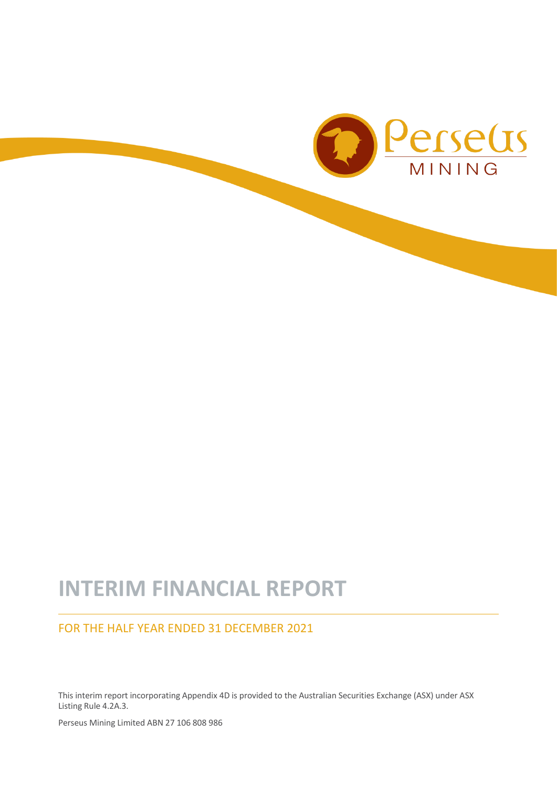

# **INTERIM FINANCIAL REPORT**

### FOR THE HALF YEAR ENDED 31 DECEMBER 2021

This interim report incorporating Appendix 4D is provided to the Australian Securities Exchange (ASX) under ASX Listing Rule 4.2A.3.

Perseus Mining Limited ABN 27 106 808 986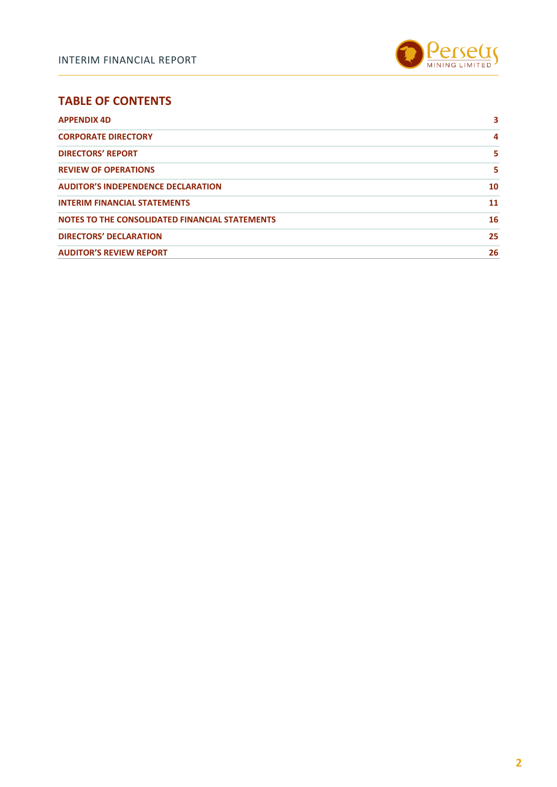

### **TABLE OF CONTENTS**

| <b>APPENDIX 4D</b>                             | 3  |
|------------------------------------------------|----|
| <b>CORPORATE DIRECTORY</b>                     | 4  |
| <b>DIRECTORS' REPORT</b>                       | 5  |
| <b>REVIEW OF OPERATIONS</b>                    | 5  |
| <b>AUDITOR'S INDEPENDENCE DECLARATION</b>      | 10 |
| <b>INTERIM FINANCIAL STATEMENTS</b>            | 11 |
| NOTES TO THE CONSOLIDATED FINANCIAL STATEMENTS | 16 |
| <b>DIRECTORS' DECLARATION</b>                  | 25 |
| <b>AUDITOR'S REVIEW REPORT</b>                 | 26 |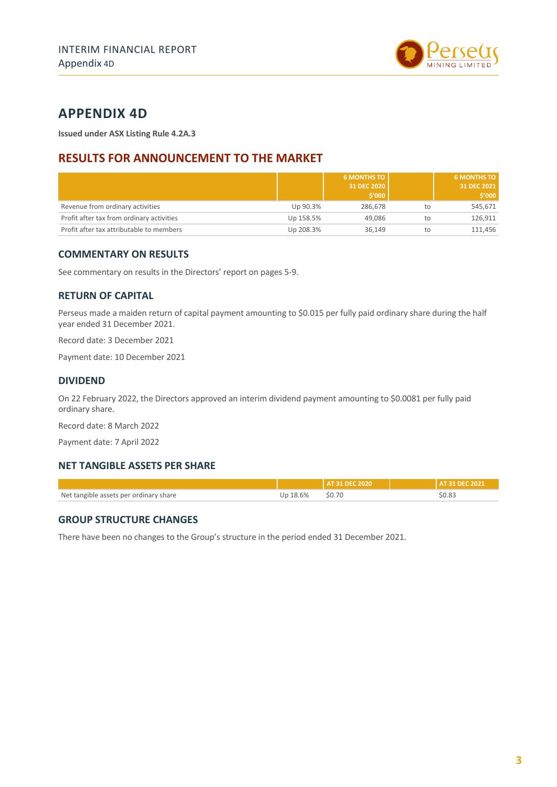

## <span id="page-2-0"></span>**APPENDIX 4D**

**Issued under ASX Listing Rule 4.2A.3**

### **RESULTS FOR ANNOUNCEMENT TO THE MARKET**

|                                           |           | <b>6 MONTHS TO</b><br>31 DEC 2020<br>\$′000 |    | <b>6 MONTHS TO</b><br>31 DEC 2021<br>\$′000 |
|-------------------------------------------|-----------|---------------------------------------------|----|---------------------------------------------|
| Revenue from ordinary activities          | Up 90.3%  | 286.678                                     | to | 545,671                                     |
| Profit after tax from ordinary activities | Up 158.5% | 49.086                                      | to | 126.911                                     |
| Profit after tax attributable to members  | Up 208.3% | 36.149                                      | to | 111.456                                     |

#### **COMMENTARY ON RESULTS**

See commentary on results in the Directors' report on pages 5-9.

#### **RETURN OF CAPITAL**

Perseus made a maiden return of capital payment amounting to \$0.015 per fully paid ordinary share during the half year ended 31 December 2021.

Record date: 3 December 2021

Payment date: 10 December 2021

#### **DIVIDEND**

On 22 February 2022, the Directors approved an interim dividend payment amounting to \$0.0081 per fully paid ordinary share.

Record date: 8 March 2022

Payment date: 7 April 2022

#### **NET TANGIBLE ASSETS PER SHARE**

|                                        |          | AT 31 DEC 2020 | <b>LAT 31 DEC 2021</b> |
|----------------------------------------|----------|----------------|------------------------|
| Net tangible assets per ordinary share | Up 18.6% | \$0.70         | \$0.83                 |

#### **GROUP STRUCTURE CHANGES**

There have been no changes to the Group's structure in the period ended 31 December 2021.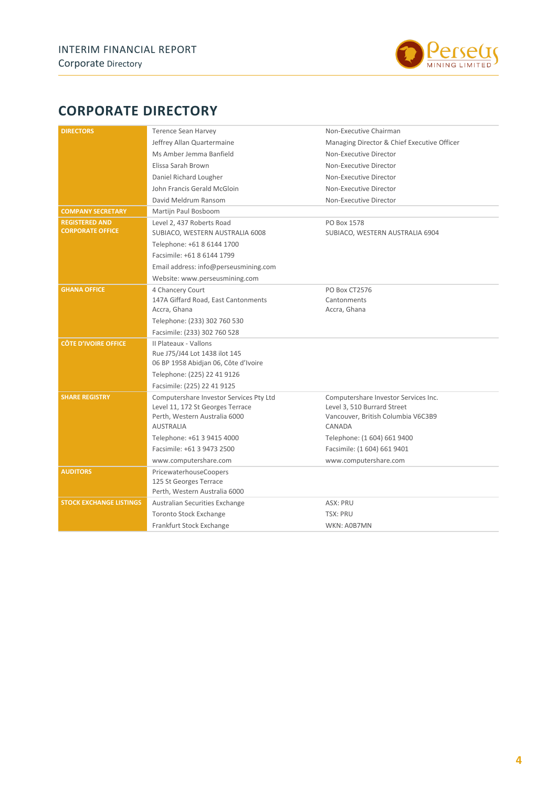

## <span id="page-3-0"></span>**CORPORATE DIRECTORY**

| <b>DIRECTORS</b>               | <b>Terence Sean Harvey</b>                                            | Non-Executive Chairman                      |
|--------------------------------|-----------------------------------------------------------------------|---------------------------------------------|
|                                | Jeffrey Allan Quartermaine                                            | Managing Director & Chief Executive Officer |
|                                | Ms Amber Jemma Banfield                                               | Non-Executive Director                      |
|                                | Elissa Sarah Brown                                                    | Non-Executive Director                      |
|                                | Daniel Richard Lougher                                                | Non-Executive Director                      |
|                                | John Francis Gerald McGloin                                           | Non-Executive Director                      |
|                                | David Meldrum Ransom                                                  | Non-Executive Director                      |
| <b>COMPANY SECRETARY</b>       | Martijn Paul Bosboom                                                  |                                             |
| <b>REGISTERED AND</b>          | Level 2, 437 Roberts Road                                             | PO Box 1578                                 |
| <b>CORPORATE OFFICE</b>        | SUBIACO, WESTERN AUSTRALIA 6008                                       | SUBIACO, WESTERN AUSTRALIA 6904             |
|                                | Telephone: +61 8 6144 1700                                            |                                             |
|                                | Facsimile: +61 8 6144 1799                                            |                                             |
|                                | Email address: info@perseusmining.com                                 |                                             |
|                                | Website: www.perseusmining.com                                        |                                             |
| <b>GHANA OFFICE</b>            | 4 Chancery Court                                                      | PO Box CT2576                               |
|                                | 147A Giffard Road, East Cantonments                                   | Cantonments                                 |
|                                | Accra, Ghana                                                          | Accra, Ghana                                |
|                                | Telephone: (233) 302 760 530                                          |                                             |
|                                | Facsimile: (233) 302 760 528                                          |                                             |
| <b>CÔTE D'IVOIRE OFFICE</b>    | Il Plateaux - Vallons                                                 |                                             |
|                                | Rue J75/J44 Lot 1438 ilot 145<br>06 BP 1958 Abidjan 06, Côte d'Ivoire |                                             |
|                                | Telephone: (225) 22 41 9126                                           |                                             |
|                                | Facsimile: (225) 22 41 9125                                           |                                             |
| <b>SHARE REGISTRY</b>          | Computershare Investor Services Pty Ltd                               | Computershare Investor Services Inc.        |
|                                | Level 11, 172 St Georges Terrace                                      | Level 3, 510 Burrard Street                 |
|                                | Perth, Western Australia 6000                                         | Vancouver, British Columbia V6C3B9          |
|                                | <b>AUSTRALIA</b>                                                      | CANADA                                      |
|                                | Telephone: +61 3 9415 4000                                            | Telephone: (1 604) 661 9400                 |
|                                | Facsimile: +61 3 9473 2500                                            | Facsimile: (1 604) 661 9401                 |
|                                | www.computershare.com                                                 | www.computershare.com                       |
| <b>AUDITORS</b>                | PricewaterhouseCoopers                                                |                                             |
|                                | 125 St Georges Terrace                                                |                                             |
|                                | Perth, Western Australia 6000                                         |                                             |
| <b>STOCK EXCHANGE LISTINGS</b> | Australian Securities Exchange                                        | ASX: PRU                                    |
|                                | <b>Toronto Stock Exchange</b>                                         | <b>TSX: PRU</b>                             |
|                                | Frankfurt Stock Exchange                                              | WKN: A0B7MN                                 |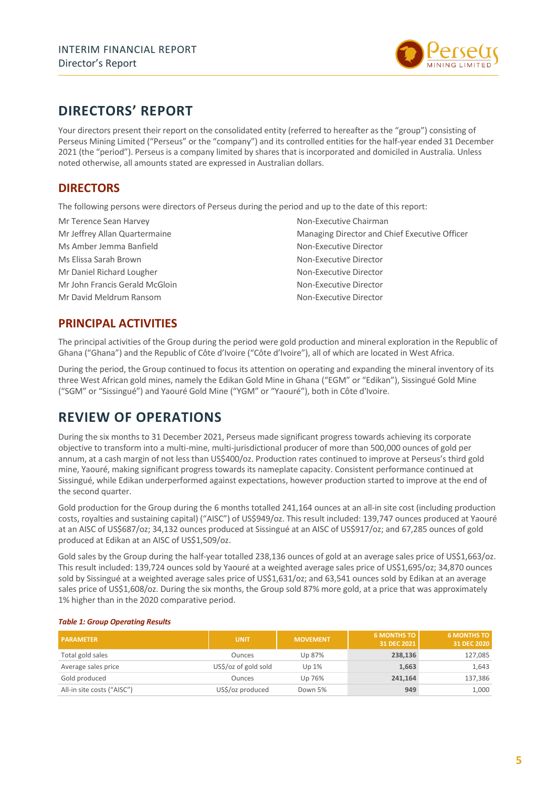

## <span id="page-4-0"></span>**DIRECTORS' REPORT**

Your directors present their report on the consolidated entity (referred to hereafter as the "group") consisting of Perseus Mining Limited ("Perseus" or the "company") and its controlled entities for the half-year ended 31 December 2021 (the "period"). Perseus is a company limited by shares that is incorporated and domiciled in Australia. Unless noted otherwise, all amounts stated are expressed in Australian dollars.

### **DIRECTORS**

The following persons were directors of Perseus during the period and up to the date of this report:

Mr Terence Sean Harvey Non-Executive Chairman Ms Amber Jemma Banfield Non-Executive Director Ms Elissa Sarah Brown Non-Executive Director Mr Daniel Richard Lougher Non-Executive Director Mr John Francis Gerald McGloin Non-Executive Director Mr David Meldrum Ransom Non-Executive Director

Mr Jeffrey Allan Quartermaine Managing Director and Chief Executive Officer

### **PRINCIPAL ACTIVITIES**

The principal activities of the Group during the period were gold production and mineral exploration in the Republic of Ghana ("Ghana") and the Republic of Côte d'Ivoire ("Côte d'Ivoire"), all of which are located in West Africa.

During the period, the Group continued to focus its attention on operating and expanding the mineral inventory of its three West African gold mines, namely the Edikan Gold Mine in Ghana ("EGM" or "Edikan"), Sissingué Gold Mine ("SGM" or "Sissingué") and Yaouré Gold Mine ("YGM" or "Yaouré"), both in Côte d'Ivoire.

## <span id="page-4-1"></span>**REVIEW OF OPERATIONS**

During the six months to 31 December 2021, Perseus made significant progress towards achieving its corporate objective to transform into a multi-mine, multi-jurisdictional producer of more than 500,000 ounces of gold per annum, at a cash margin of not less than US\$400/oz. Production rates continued to improve at Perseus's third gold mine, Yaouré, making significant progress towards its nameplate capacity. Consistent performance continued at Sissingué, while Edikan underperformed against expectations, however production started to improve at the end of the second quarter.

Gold production for the Group during the 6 months totalled 241,164 ounces at an all-in site cost (including production costs, royalties and sustaining capital) ("AISC") of US\$949/oz. This result included: 139,747 ounces produced at Yaouré at an AISC of US\$687/oz; 34,132 ounces produced at Sissingué at an AISC of US\$917/oz; and 67,285 ounces of gold produced at Edikan at an AISC of US\$1,509/oz.

Gold sales by the Group during the half-year totalled 238,136 ounces of gold at an average sales price of US\$1,663/oz. This result included: 139,724 ounces sold by Yaouré at a weighted average sales price of US\$1,695/oz; 34,870 ounces sold by Sissingué at a weighted average sales price of US\$1,631/oz; and 63,541 ounces sold by Edikan at an average sales price of US\$1,608/oz. During the six months, the Group sold 87% more gold, at a price that was approximately 1% higher than in the 2020 comparative period.

| <b>PARAMETER</b>           | <b>UNIT</b>          | <b>MOVEMENT</b> | <b>6 MONTHS TO</b><br>31 DEC 2021 | <b>6 MONTHS TO</b><br>31 DEC 2020 |
|----------------------------|----------------------|-----------------|-----------------------------------|-----------------------------------|
| Total gold sales           | Ounces               | Up 87%          | 238,136                           | 127,085                           |
| Average sales price        | US\$/oz of gold sold | Up 1%           | 1,663                             | 1,643                             |
| Gold produced              | Ounces               | Up 76%          | 241,164                           | 137,386                           |
| All-in site costs ("AISC") | US\$/oz produced     | Down 5%         | 949                               | 1,000                             |

#### *Table 1: Group Operating Results*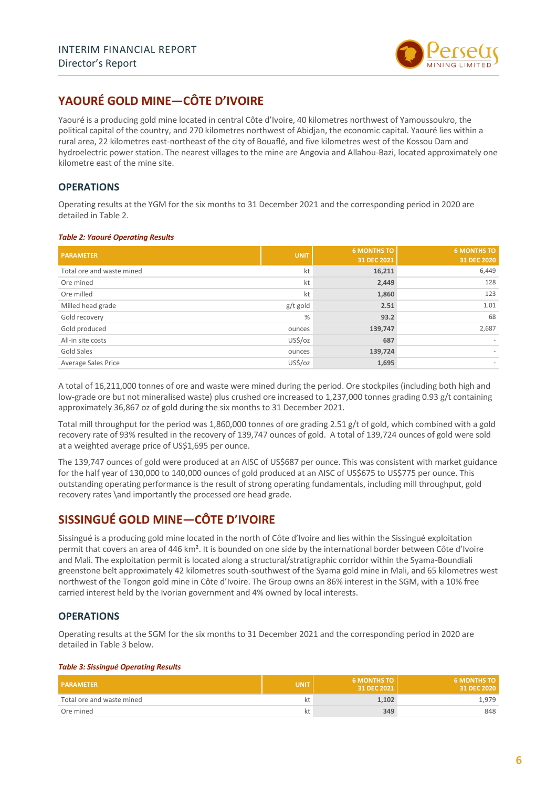

### **YAOURÉ GOLD MINE—CÔTE D'IVOIRE**

Yaouré is a producing gold mine located in central Côte d'Ivoire, 40 kilometres northwest of Yamoussoukro, the political capital of the country, and 270 kilometres northwest of Abidjan, the economic capital. Yaouré lies within a rural area, 22 kilometres east-northeast of the city of Bouaflé, and five kilometres west of the Kossou Dam and hydroelectric power station. The nearest villages to the mine are Angovia and Allahou-Bazi, located approximately one kilometre east of the mine site.

#### **OPERATIONS**

Operating results at the YGM for the six months to 31 December 2021 and the corresponding period in 2020 are detailed in Table 2.

#### *Table 2: Yaouré Operating Results*

| <b>PARAMETER</b>          | <b>UNIT</b> | <b>6 MONTHS TO</b><br>31 DEC 2021 | <b>6 MONTHS TO</b><br>31 DEC 2020 |
|---------------------------|-------------|-----------------------------------|-----------------------------------|
| Total ore and waste mined | kt          | 16,211                            | 6,449                             |
| Ore mined                 | kt          | 2,449                             | 128                               |
| Ore milled                | kt          | 1,860                             | 123                               |
| Milled head grade         | g/t gold    | 2.51                              | 1.01                              |
| Gold recovery             | %           | 93.2                              | 68                                |
| Gold produced             | ounces      | 139,747                           | 2,687                             |
| All-in site costs         | US\$/oz     | 687                               | $\sim$                            |
| <b>Gold Sales</b>         | ounces      | 139,724                           |                                   |
| Average Sales Price       | US\$/oz     | 1,695                             | $\sim$                            |

A total of 16,211,000 tonnes of ore and waste were mined during the period. Ore stockpiles (including both high and low-grade ore but not mineralised waste) plus crushed ore increased to 1,237,000 tonnes grading 0.93 g/t containing approximately 36,867 oz of gold during the six months to 31 December 2021.

Total mill throughput for the period was 1,860,000 tonnes of ore grading 2.51 g/t of gold, which combined with a gold recovery rate of 93% resulted in the recovery of 139,747 ounces of gold. A total of 139,724 ounces of gold were sold at a weighted average price of US\$1,695 per ounce.

The 139,747 ounces of gold were produced at an AISC of US\$687 per ounce. This was consistent with market guidance for the half year of 130,000 to 140,000 ounces of gold produced at an AISC of US\$675 to US\$775 per ounce. This outstanding operating performance is the result of strong operating fundamentals, including mill throughput, gold recovery rates \and importantly the processed ore head grade.

### **SISSINGUÉ GOLD MINE—CÔTE D'IVOIRE**

Sissingué is a producing gold mine located in the north of Côte d'Ivoire and lies within the Sissingué exploitation permit that covers an area of 446 km². It is bounded on one side by the international border between Côte d'Ivoire and Mali. The exploitation permit is located along a structural/stratigraphic corridor within the Syama-Boundiali greenstone belt approximately 42 kilometres south-southwest of the Syama gold mine in Mali, and 65 kilometres west northwest of the Tongon gold mine in Côte d'Ivoire. The Group owns an 86% interest in the SGM, with a 10% free carried interest held by the Ivorian government and 4% owned by local interests.

#### **OPERATIONS**

Operating results at the SGM for the six months to 31 December 2021 and the corresponding period in 2020 are detailed in Table 3 below.

#### *Table 3: Sissingué Operating Results*

| <b>PARAMETER</b>          | <b>UNIT</b> | <b>6 MONTHS TO</b><br>31 DEC 2021 | <b>6 MONTHS TO</b><br>31 DEC 2020 |
|---------------------------|-------------|-----------------------------------|-----------------------------------|
| Total ore and waste mined | κt          | 1.102                             | 1.979                             |
| Ore mined                 | κt          | 349                               | 848                               |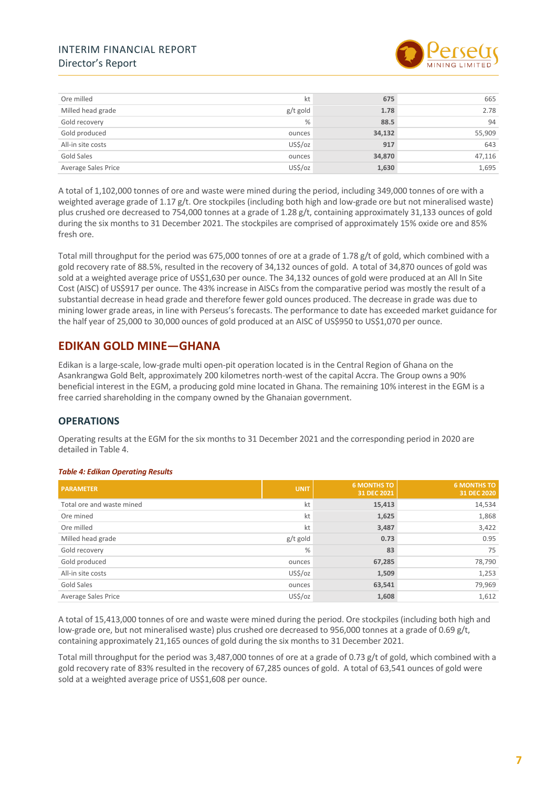#### INTERIM FINANCIAL REPORT Director's Report



| Ore milled          | kt            | 675    | 665    |
|---------------------|---------------|--------|--------|
| Milled head grade   | g/t gold      | 1.78   | 2.78   |
| Gold recovery       | $\frac{0}{0}$ | 88.5   | 94     |
| Gold produced       | ounces        | 34,132 | 55,909 |
| All-in site costs   | US\$/oz       | 917    | 643    |
| Gold Sales          | ounces        | 34,870 | 47,116 |
| Average Sales Price | US\$/oz       | 1,630  | 1,695  |

A total of 1,102,000 tonnes of ore and waste were mined during the period, including 349,000 tonnes of ore with a weighted average grade of 1.17 g/t. Ore stockpiles (including both high and low-grade ore but not mineralised waste) plus crushed ore decreased to 754,000 tonnes at a grade of 1.28 g/t, containing approximately 31,133 ounces of gold during the six months to 31 December 2021. The stockpiles are comprised of approximately 15% oxide ore and 85% fresh ore.

Total mill throughput for the period was 675,000 tonnes of ore at a grade of 1.78 g/t of gold, which combined with a gold recovery rate of 88.5%, resulted in the recovery of 34,132 ounces of gold. A total of 34,870 ounces of gold was sold at a weighted average price of US\$1,630 per ounce. The 34,132 ounces of gold were produced at an All In Site Cost (AISC) of US\$917 per ounce. The 43% increase in AISCs from the comparative period was mostly the result of a substantial decrease in head grade and therefore fewer gold ounces produced. The decrease in grade was due to mining lower grade areas, in line with Perseus's forecasts. The performance to date has exceeded market guidance for the half year of 25,000 to 30,000 ounces of gold produced at an AISC of US\$950 to US\$1,070 per ounce.

### **EDIKAN GOLD MINE—GHANA**

Edikan is a large-scale, low-grade multi open-pit operation located is in the Central Region of Ghana on the Asankrangwa Gold Belt, approximately 200 kilometres north-west of the capital Accra. The Group owns a 90% beneficial interest in the EGM, a producing gold mine located in Ghana. The remaining 10% interest in the EGM is a free carried shareholding in the company owned by the Ghanaian government.

#### **OPERATIONS**

Operating results at the EGM for the six months to 31 December 2021 and the corresponding period in 2020 are detailed in Table 4.

#### *Table 4: Edikan Operating Results*

| <b>PARAMETER</b>          | <b>UNIT</b> | <b>6 MONTHS TO</b><br>31 DEC 2021 | <b>6 MONTHS TO</b><br>31 DEC 2020 |
|---------------------------|-------------|-----------------------------------|-----------------------------------|
| Total ore and waste mined | kt          | 15,413                            | 14,534                            |
| Ore mined                 | kt          | 1,625                             | 1,868                             |
| Ore milled                | kt          | 3,487                             | 3,422                             |
| Milled head grade         | g/t gold    | 0.73                              | 0.95                              |
| Gold recovery             | %           | 83                                | 75                                |
| Gold produced             | ounces      | 67,285                            | 78,790                            |
| All-in site costs         | US\$/oz     | 1,509                             | 1,253                             |
| Gold Sales                | ounces      | 63,541                            | 79,969                            |
| Average Sales Price       | US\$/oz     | 1,608                             | 1,612                             |

A total of 15,413,000 tonnes of ore and waste were mined during the period. Ore stockpiles (including both high and low-grade ore, but not mineralised waste) plus crushed ore decreased to 956,000 tonnes at a grade of 0.69 g/t, containing approximately 21,165 ounces of gold during the six months to 31 December 2021.

Total mill throughput for the period was 3,487,000 tonnes of ore at a grade of 0.73 g/t of gold, which combined with a gold recovery rate of 83% resulted in the recovery of 67,285 ounces of gold. A total of 63,541 ounces of gold were sold at a weighted average price of US\$1,608 per ounce.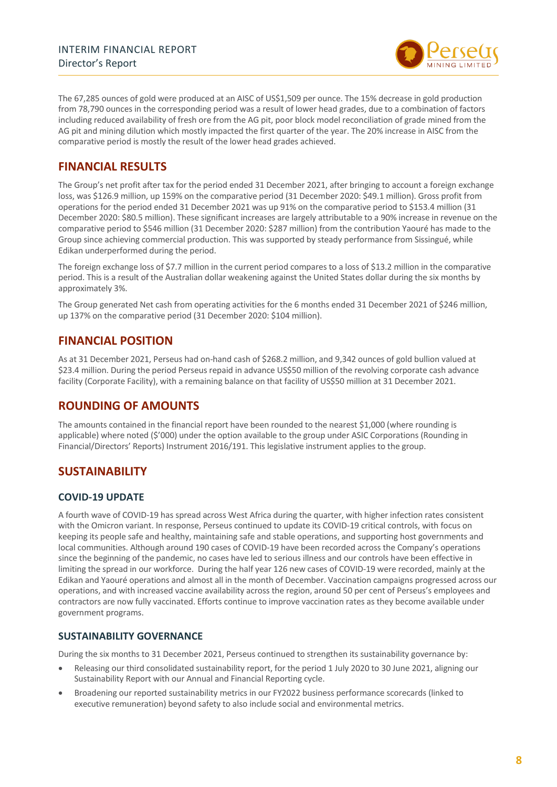

The 67,285 ounces of gold were produced at an AISC of US\$1,509 per ounce. The 15% decrease in gold production from 78,790 ounces in the corresponding period was a result of lower head grades, due to a combination of factors including reduced availability of fresh ore from the AG pit, poor block model reconciliation of grade mined from the AG pit and mining dilution which mostly impacted the first quarter of the year. The 20% increase in AISC from the comparative period is mostly the result of the lower head grades achieved.

### **FINANCIAL RESULTS**

The Group's net profit after tax for the period ended 31 December 2021, after bringing to account a foreign exchange loss, was \$126.9 million, up 159% on the comparative period (31 December 2020: \$49.1 million). Gross profit from operations for the period ended 31 December 2021 was up 91% on the comparative period to \$153.4 million (31 December 2020: \$80.5 million). These significant increases are largely attributable to a 90% increase in revenue on the comparative period to \$546 million (31 December 2020: \$287 million) from the contribution Yaouré has made to the Group since achieving commercial production. This was supported by steady performance from Sissingué, while Edikan underperformed during the period.

The foreign exchange loss of \$7.7 million in the current period compares to a loss of \$13.2 million in the comparative period. This is a result of the Australian dollar weakening against the United States dollar during the six months by approximately 3%.

The Group generated Net cash from operating activities for the 6 months ended 31 December 2021 of \$246 million, up 137% on the comparative period (31 December 2020: \$104 million).

### **FINANCIAL POSITION**

As at 31 December 2021, Perseus had on-hand cash of \$268.2 million, and 9,342 ounces of gold bullion valued at \$23.4 million. During the period Perseus repaid in advance US\$50 million of the revolving corporate cash advance facility (Corporate Facility), with a remaining balance on that facility of US\$50 million at 31 December 2021.

#### **ROUNDING OF AMOUNTS**

The amounts contained in the financial report have been rounded to the nearest \$1,000 (where rounding is applicable) where noted (\$'000) under the option available to the group under ASIC Corporations (Rounding in Financial/Directors' Reports) Instrument 2016/191. This legislative instrument applies to the group.

### **SUSTAINABILITY**

#### **COVID-19 UPDATE**

A fourth wave of COVID-19 has spread across West Africa during the quarter, with higher infection rates consistent with the Omicron variant. In response, Perseus continued to update its COVID-19 critical controls, with focus on keeping its people safe and healthy, maintaining safe and stable operations, and supporting host governments and local communities. Although around 190 cases of COVID-19 have been recorded across the Company's operations since the beginning of the pandemic, no cases have led to serious illness and our controls have been effective in limiting the spread in our workforce. During the half year 126 new cases of COVID-19 were recorded, mainly at the Edikan and Yaouré operations and almost all in the month of December. Vaccination campaigns progressed across our operations, and with increased vaccine availability across the region, around 50 per cent of Perseus's employees and contractors are now fully vaccinated. Efforts continue to improve vaccination rates as they become available under government programs.

#### **SUSTAINABILITY GOVERNANCE**

During the six months to 31 December 2021, Perseus continued to strengthen its sustainability governance by:

- Releasing our third consolidated sustainability report, for the period 1 July 2020 to 30 June 2021, aligning our Sustainability Report with our Annual and Financial Reporting cycle.
- Broadening our reported sustainability metrics in our FY2022 business performance scorecards (linked to executive remuneration) beyond safety to also include social and environmental metrics.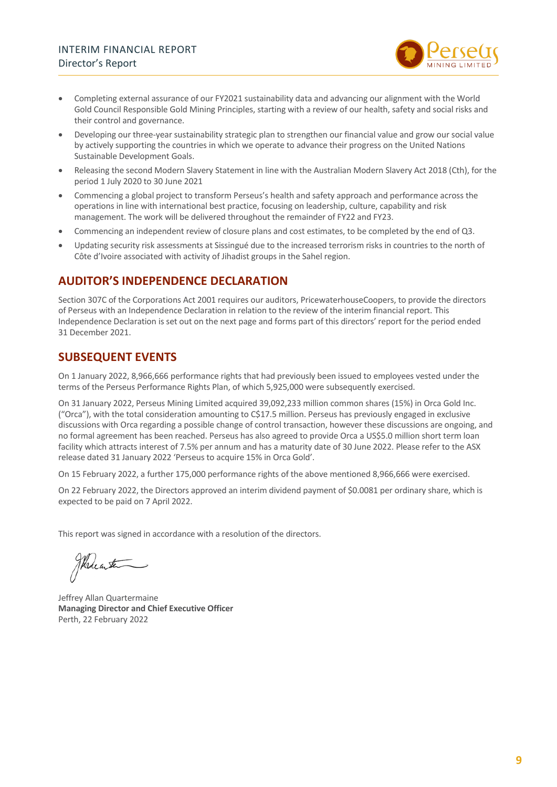

- Completing external assurance of our FY2021 sustainability data and advancing our alignment with the World Gold Council Responsible Gold Mining Principles, starting with a review of our health, safety and social risks and their control and governance.
- Developing our three-year sustainability strategic plan to strengthen our financial value and grow our social value by actively supporting the countries in which we operate to advance their progress on the United Nations Sustainable Development Goals.
- Releasing the second Modern Slavery Statement in line with the Australian Modern Slavery Act 2018 (Cth), for the period 1 July 2020 to 30 June 2021
- Commencing a global project to transform Perseus's health and safety approach and performance across the operations in line with international best practice, focusing on leadership, culture, capability and risk management. The work will be delivered throughout the remainder of FY22 and FY23.
- Commencing an independent review of closure plans and cost estimates, to be completed by the end of Q3.
- Updating security risk assessments at Sissingué due to the increased terrorism risks in countries to the north of Côte d'Ivoire associated with activity of Jihadist groups in the Sahel region.

### **AUDITOR'S INDEPENDENCE DECLARATION**

Section 307C of the Corporations Act 2001 requires our auditors, PricewaterhouseCoopers, to provide the directors of Perseus with an Independence Declaration in relation to the review of the interim financial report. This Independence Declaration is set out on the next page and forms part of this directors' report for the period ended 31 December 2021.

### **SUBSEQUENT EVENTS**

On 1 January 2022, 8,966,666 performance rights that had previously been issued to employees vested under the terms of the Perseus Performance Rights Plan, of which 5,925,000 were subsequently exercised.

On 31 January 2022, Perseus Mining Limited acquired 39,092,233 million common shares (15%) in Orca Gold Inc. ("Orca"), with the total consideration amounting to C\$17.5 million. Perseus has previously engaged in exclusive discussions with Orca regarding a possible change of control transaction, however these discussions are ongoing, and no formal agreement has been reached. Perseus has also agreed to provide Orca a US\$5.0 million short term loan facility which attracts interest of 7.5% per annum and has a maturity date of 30 June 2022. Please refer to the ASX release dated 31 January 2022 'Perseus to acquire 15% in Orca Gold'.

On 15 February 2022, a further 175,000 performance rights of the above mentioned 8,966,666 were exercised.

On 22 February 2022, the Directors approved an interim dividend payment of \$0.0081 per ordinary share, which is expected to be paid on 7 April 2022.

This report was signed in accordance with a resolution of the directors.

Thereater

Jeffrey Allan Quartermaine **Managing Director and Chief Executive Officer** Perth, 22 February 2022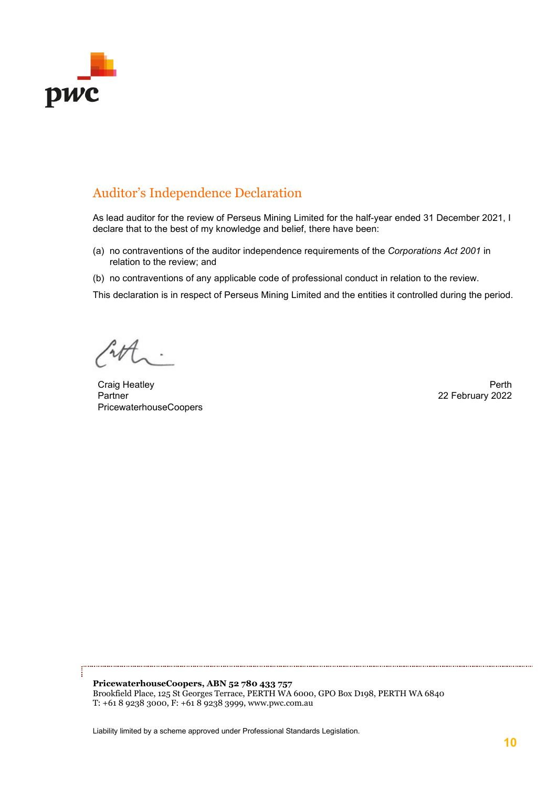

### Auditor's Independence Declaration

As lead auditor for the review of Perseus Mining Limited for the half-year ended 31 December 2021, I declare that to the best of my knowledge and belief, there have been:

- (a) no contraventions of the auditor independence requirements of the *Corporations Act 2001* in relation to the review; and
- (b) no contraventions of any applicable code of professional conduct in relation to the review.

This declaration is in respect of Perseus Mining Limited and the entities it controlled during the period.

Craig Heatley **Perth** Partner PricewaterhouseCoopers

22 February 2022

**PricewaterhouseCoopers, ABN 52 780 433 757**  Brookfield Place, 125 St Georges Terrace, PERTH WA 6000, GPO Box D198, PERTH WA 6840 T: +61 8 9238 3000, F: +61 8 9238 3999, www.pwc.com.au

Liability limited by a scheme approved under Professional Standards Legislation.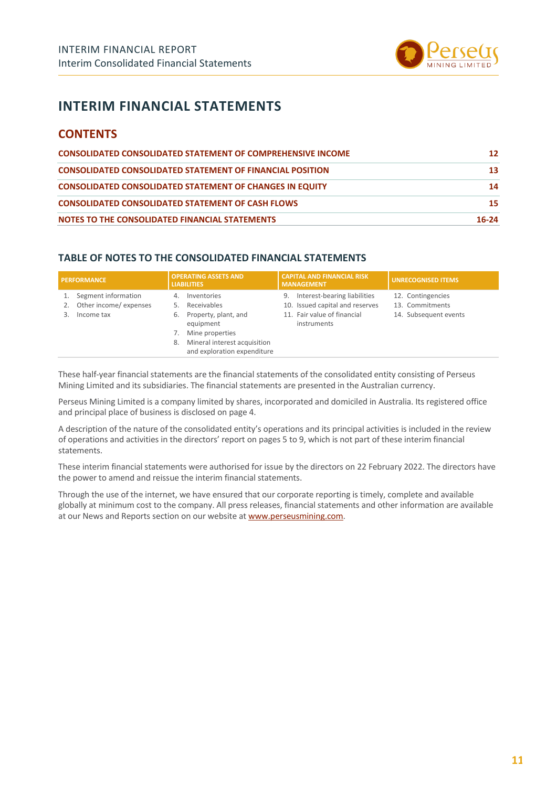

## **INTERIM FINANCIAL STATEMENTS**

### **CONTENTS**

| <b>CONSOLIDATED CONSOLIDATED STATEMENT OF COMPREHENSIVE INCOME</b> | 12        |
|--------------------------------------------------------------------|-----------|
| <b>CONSOLIDATED CONSOLIDATED STATEMENT OF FINANCIAL POSITION</b>   | 13        |
| <b>CONSOLIDATED CONSOLIDATED STATEMENT OF CHANGES IN EQUITY</b>    | 14        |
| <b>CONSOLIDATED CONSOLIDATED STATEMENT OF CASH FLOWS</b>           | 15        |
| NOTES TO THE CONSOLIDATED FINANCIAL STATEMENTS                     | $16 - 24$ |

#### **TABLE OF NOTES TO THE CONSOLIDATED FINANCIAL STATEMENTS**

| <b>PERFORMANCE</b> |                       | <b>OPERATING ASSETS AND</b><br><b>LIABILITIES</b> |                                                             | <b>CAPITAL AND FINANCIAL RISK</b><br><b>MANAGEMENT</b> |                                            | <b>UNRECOGNISED ITEMS</b> |
|--------------------|-----------------------|---------------------------------------------------|-------------------------------------------------------------|--------------------------------------------------------|--------------------------------------------|---------------------------|
|                    | Segment information   | 4.                                                | Inventories                                                 | 9.                                                     | Interest-bearing liabilities               | 12. Contingencies         |
| 2.                 | Other income/expenses |                                                   | Receivables                                                 |                                                        | 10. Issued capital and reserves            | 13. Commitments           |
|                    | Income tax            | 6.                                                | Property, plant, and<br>equipment                           |                                                        | 11. Fair value of financial<br>instruments | 14. Subsequent events     |
|                    |                       |                                                   | Mine properties                                             |                                                        |                                            |                           |
|                    |                       | 8.                                                | Mineral interest acquisition<br>and exploration expenditure |                                                        |                                            |                           |

These half-year financial statements are the financial statements of the consolidated entity consisting of Perseus Mining Limited and its subsidiaries. The financial statements are presented in the Australian currency.

Perseus Mining Limited is a company limited by shares, incorporated and domiciled in Australia. Its registered office and principal place of business is disclosed on page 4.

A description of the nature of the consolidated entity's operations and its principal activities is included in the review of operations and activities in the directors' report on pages 5 to 9, which is not part of these interim financial statements.

These interim financial statements were authorised for issue by the directors on 22 February 2022. The directors have the power to amend and reissue the interim financial statements.

Through the use of the internet, we have ensured that our corporate reporting is timely, complete and available globally at minimum cost to the company. All press releases, financial statements and other information are available at our News and Reports section on our website a[t www.perseusmining.com.](http://www.perseusmining.com/)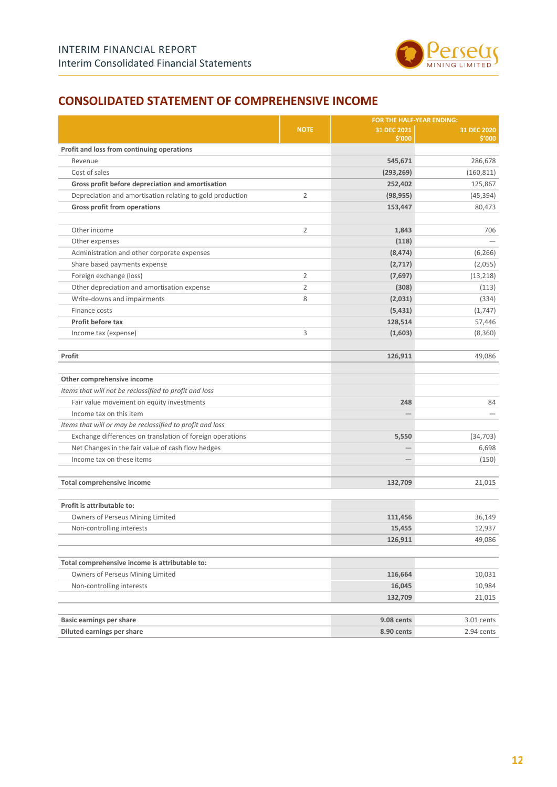

### <span id="page-11-0"></span>**CONSOLIDATED STATEMENT OF COMPREHENSIVE INCOME**

|                                                           |                | FOR THE HALF-YEAR ENDING: |                       |
|-----------------------------------------------------------|----------------|---------------------------|-----------------------|
|                                                           | <b>NOTE</b>    | 31 DEC 2021<br>\$'000     | 31 DEC 2020<br>\$'000 |
| Profit and loss from continuing operations                |                |                           |                       |
| Revenue                                                   |                | 545,671                   | 286,678               |
| Cost of sales                                             |                | (293, 269)                | (160, 811)            |
| Gross profit before depreciation and amortisation         |                | 252,402                   | 125,867               |
| Depreciation and amortisation relating to gold production | $\overline{2}$ | (98, 955)                 | (45,394)              |
| Gross profit from operations                              |                | 153,447                   | 80,473                |
| Other income                                              | $\overline{2}$ | 1,843                     | 706                   |
| Other expenses                                            |                | (118)                     |                       |
| Administration and other corporate expenses               |                | (8, 474)                  | (6, 266)              |
| Share based payments expense                              |                | (2,717)                   | (2,055)               |
| Foreign exchange (loss)                                   | $\overline{2}$ | (7,697)                   | (13, 218)             |
| Other depreciation and amortisation expense               | $\overline{2}$ | (308)                     | (113)                 |
| Write-downs and impairments                               | 8              | (2,031)                   | (334)                 |
| Finance costs                                             |                | (5, 431)                  | (1,747)               |
| Profit before tax                                         |                | 128,514                   | 57,446                |
| Income tax (expense)                                      | 3              | (1,603)                   | (8,360)               |
| Profit                                                    |                | 126,911                   | 49,086                |
| Other comprehensive income                                |                |                           |                       |
| Items that will not be reclassified to profit and loss    |                |                           |                       |
| Fair value movement on equity investments                 |                | 248                       | 84                    |
| Income tax on this item                                   |                |                           |                       |
| Items that will or may be reclassified to profit and loss |                |                           |                       |
| Exchange differences on translation of foreign operations |                | 5,550                     | (34, 703)             |
| Net Changes in the fair value of cash flow hedges         |                |                           | 6,698                 |
| Income tax on these items                                 |                |                           | (150)                 |
| Total comprehensive income                                |                | 132,709                   | 21,015                |
| Profit is attributable to:                                |                |                           |                       |
| Owners of Perseus Mining Limited                          |                | 111,456                   | 36,149                |
| Non-controlling interests                                 |                | 15,455                    | 12,937                |
|                                                           |                | 126,911                   | 49,086                |
| Total comprehensive income is attributable to:            |                |                           |                       |
| Owners of Perseus Mining Limited                          |                | 116,664                   | 10,031                |
| Non-controlling interests                                 |                | 16,045                    | 10,984                |
|                                                           |                | 132,709                   | 21,015                |
| <b>Basic earnings per share</b>                           |                | 9.08 cents                | 3.01 cents            |
| Diluted earnings per share                                |                | 8.90 cents                | 2.94 cents            |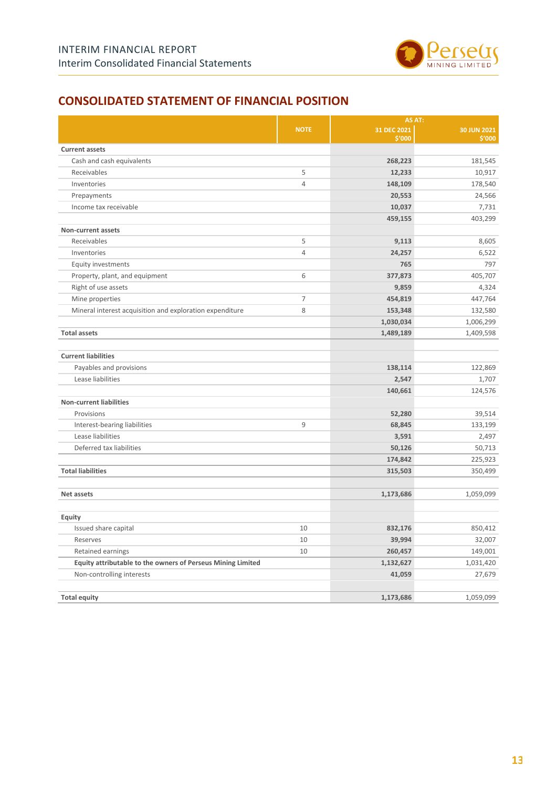

### <span id="page-12-0"></span>**CONSOLIDATED STATEMENT OF FINANCIAL POSITION**

|                                                             |                | AS AT:                |                       |
|-------------------------------------------------------------|----------------|-----------------------|-----------------------|
|                                                             | <b>NOTE</b>    | 31 DEC 2021<br>\$'000 | 30 JUN 2021<br>\$'000 |
| <b>Current assets</b>                                       |                |                       |                       |
| Cash and cash equivalents                                   |                | 268,223               | 181,545               |
| Receivables                                                 | 5              | 12,233                | 10,917                |
| Inventories                                                 | $\overline{4}$ | 148,109               | 178,540               |
| Prepayments                                                 |                | 20,553                | 24,566                |
| Income tax receivable                                       |                | 10,037                | 7,731                 |
|                                                             |                | 459,155               | 403,299               |
| Non-current assets                                          |                |                       |                       |
| Receivables                                                 | 5              | 9,113                 | 8,605                 |
| Inventories                                                 | $\overline{4}$ | 24,257                | 6,522                 |
| Equity investments                                          |                | 765                   | 797                   |
| Property, plant, and equipment                              | 6              | 377,873               | 405,707               |
| Right of use assets                                         |                | 9,859                 | 4,324                 |
| Mine properties                                             | $\overline{7}$ | 454,819               | 447,764               |
| Mineral interest acquisition and exploration expenditure    | 8              | 153,348               | 132,580               |
|                                                             |                | 1,030,034             | 1,006,299             |
| <b>Total assets</b>                                         |                | 1,489,189             | 1,409,598             |
| <b>Current liabilities</b>                                  |                |                       |                       |
| Payables and provisions                                     |                | 138,114               | 122,869               |
| Lease liabilities                                           |                | 2,547                 | 1,707                 |
|                                                             |                | 140,661               | 124,576               |
| <b>Non-current liabilities</b>                              |                |                       |                       |
| Provisions                                                  |                | 52,280                | 39,514                |
| Interest-bearing liabilities                                | 9              | 68,845                | 133,199               |
| Lease liabilities                                           |                | 3,591                 | 2,497                 |
| Deferred tax liabilities                                    |                | 50,126                | 50,713                |
|                                                             |                | 174,842               | 225,923               |
| <b>Total liabilities</b>                                    |                | 315,503               | 350,499               |
| Net assets                                                  |                | 1,173,686             | 1,059,099             |
| <b>Equity</b>                                               |                |                       |                       |
| Issued share capital                                        | 10             | 832,176               | 850,412               |
| Reserves                                                    | 10             | 39,994                | 32,007                |
| Retained earnings                                           | 10             | 260,457               | 149,001               |
| Equity attributable to the owners of Perseus Mining Limited |                | 1,132,627             | 1,031,420             |
| Non-controlling interests                                   |                | 41,059                | 27,679                |
| <b>Total equity</b>                                         |                | 1,173,686             | 1,059,099             |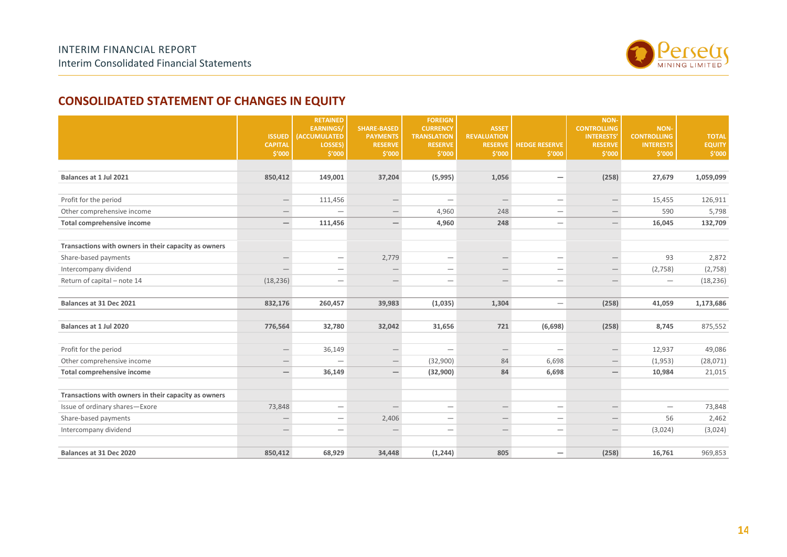

### **CONSOLIDATED STATEMENT OF CHANGES IN EQUITY**

<span id="page-13-0"></span>

|                                                      | <b>ISSUED</b>            | <b>RETAINED</b><br><b>EARNINGS/</b><br><b>(ACCUMULATED</b> | <b>SHARE-BASED</b><br><b>PAYMENTS</b> | <b>FOREIGN</b><br><b>CURRENCY</b><br><b>TRANSLATION</b> | <b>ASSET</b><br><b>REVALUATION</b> |                                 | NON-<br><b>CONTROLLING</b><br><b>INTERESTS'</b> | <b>NON-</b><br><b>CONTROLLING</b> | <b>TOTAL</b>  |
|------------------------------------------------------|--------------------------|------------------------------------------------------------|---------------------------------------|---------------------------------------------------------|------------------------------------|---------------------------------|-------------------------------------------------|-----------------------------------|---------------|
|                                                      | <b>CAPITAL</b>           | LOSSES)                                                    | <b>RESERVE</b>                        | <b>RESERVE</b>                                          | <b>RESERVE</b>                     | <b>HEDGE RESERVE</b>            | <b>RESERVE</b>                                  | <b>INTERESTS</b>                  | <b>EQUITY</b> |
|                                                      | \$'000                   | \$'000                                                     | \$'000                                | \$'000                                                  | \$'000                             | \$'000                          | \$′000                                          | \$′000                            | \$′000        |
|                                                      |                          |                                                            |                                       |                                                         |                                    |                                 |                                                 |                                   |               |
| Balances at 1 Jul 2021                               | 850,412                  | 149,001                                                    | 37,204                                | (5,995)                                                 | 1,056                              | —                               | (258)                                           | 27,679                            | 1,059,099     |
|                                                      |                          |                                                            |                                       |                                                         |                                    |                                 |                                                 |                                   |               |
| Profit for the period                                | $\overline{\phantom{m}}$ | 111,456                                                    |                                       |                                                         | $\qquad \qquad -$                  | $\overline{\phantom{0}}$        | $\qquad \qquad -$                               | 15,455                            | 126,911       |
| Other comprehensive income                           | $\overline{\phantom{m}}$ | $\overline{\phantom{0}}$                                   | $\qquad \qquad -$                     | 4,960                                                   | 248                                | $\overline{\phantom{m}}$        | $\qquad \qquad -$                               | 590                               | 5,798         |
| Total comprehensive income                           | $\overline{\phantom{0}}$ | 111,456                                                    | $\overline{\phantom{0}}$              | 4,960                                                   | 248                                |                                 | $\overline{\phantom{0}}$                        | 16,045                            | 132,709       |
|                                                      |                          |                                                            |                                       |                                                         |                                    |                                 |                                                 |                                   |               |
| Transactions with owners in their capacity as owners |                          |                                                            |                                       |                                                         |                                    |                                 |                                                 |                                   |               |
| Share-based payments                                 | $\overline{\phantom{m}}$ | $\overline{\phantom{m}}$                                   | 2,779                                 | $\overline{\phantom{m}}$                                | $\qquad \qquad -$                  | $\overline{\phantom{m}}$        | $\qquad \qquad -$                               | 93                                | 2,872         |
| Intercompany dividend                                |                          | $\overline{\phantom{0}}$                                   |                                       | $\overline{\phantom{0}}$                                | $\qquad \qquad -$                  | $\overline{\phantom{0}}$        | $\qquad \qquad -$                               | (2,758)                           | (2,758)       |
| Return of capital - note 14                          | (18, 236)                |                                                            | $\overline{\phantom{m}}$              | $\qquad \qquad$                                         | $\qquad \qquad -$                  |                                 | $\qquad \qquad -$                               | $\overline{\phantom{m}}$          | (18, 236)     |
|                                                      |                          |                                                            |                                       |                                                         |                                    |                                 |                                                 |                                   |               |
| Balances at 31 Dec 2021                              | 832,176                  | 260,457                                                    | 39,983                                | (1,035)                                                 | 1,304                              | $\overline{\phantom{m}}$        | (258)                                           | 41,059                            | 1,173,686     |
|                                                      |                          |                                                            |                                       |                                                         |                                    |                                 |                                                 |                                   |               |
| Balances at 1 Jul 2020                               | 776,564                  | 32,780                                                     | 32,042                                | 31,656                                                  | 721                                | (6, 698)                        | (258)                                           | 8,745                             | 875,552       |
|                                                      |                          |                                                            |                                       |                                                         |                                    |                                 |                                                 |                                   |               |
| Profit for the period                                | $\overline{\phantom{m}}$ | 36,149                                                     | $\overline{\phantom{m}}$              | $\overbrace{\phantom{1232211}}$                         |                                    | $\overline{\phantom{0}}$        | $\overline{\phantom{0}}$                        | 12,937                            | 49,086        |
| Other comprehensive income                           | $\qquad \qquad -$        | $\overline{\phantom{0}}$                                   | $\hspace{0.1mm}-\hspace{0.1mm}$       | (32,900)                                                | 84                                 | 6,698                           | $\qquad \qquad -$                               | (1,953)                           | (28,071)      |
| Total comprehensive income                           | $\overline{\phantom{m}}$ | 36,149                                                     | $\overline{\phantom{m}}$              | (32,900)                                                | 84                                 | 6,698                           | $\qquad \qquad -$                               | 10,984                            | 21,015        |
|                                                      |                          |                                                            |                                       |                                                         |                                    |                                 |                                                 |                                   |               |
| Transactions with owners in their capacity as owners |                          |                                                            |                                       |                                                         |                                    |                                 |                                                 |                                   |               |
| Issue of ordinary shares-Exore                       | 73,848                   | $\overline{\phantom{0}}$                                   | $\overline{\phantom{0}}$              |                                                         | $\qquad \qquad -$                  | $\overbrace{\phantom{1232211}}$ | $\hspace{0.1mm}-\hspace{0.1mm}$                 | $\overline{\phantom{0}}$          | 73,848        |
| Share-based payments                                 | $\overline{\phantom{m}}$ |                                                            | 2,406                                 | $\qquad \qquad -$                                       |                                    | $\overline{\phantom{0}}$        | $\overline{\phantom{0}}$                        | 56                                | 2,462         |
| Intercompany dividend                                |                          | $\overline{\phantom{0}}$                                   |                                       | $\overline{\phantom{0}}$                                |                                    |                                 |                                                 | (3,024)                           | (3,024)       |
|                                                      |                          |                                                            |                                       |                                                         |                                    |                                 |                                                 |                                   |               |
| Balances at 31 Dec 2020                              | 850,412                  | 68,929                                                     | 34,448                                | (1, 244)                                                | 805                                | $\qquad \qquad -$               | (258)                                           | 16,761                            | 969,853       |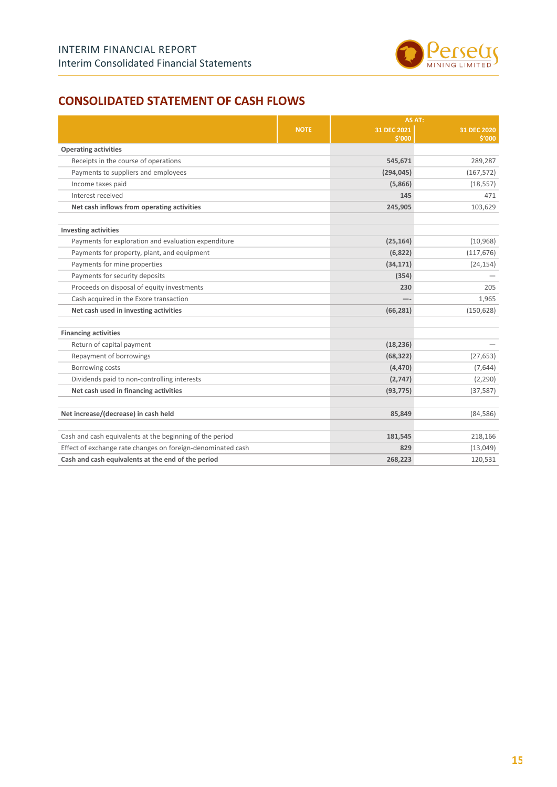

### <span id="page-14-0"></span>**CONSOLIDATED STATEMENT OF CASH FLOWS**

|                                                             |             | AS AT:                |                       |  |
|-------------------------------------------------------------|-------------|-----------------------|-----------------------|--|
|                                                             | <b>NOTE</b> | 31 DEC 2021<br>\$'000 | 31 DEC 2020<br>\$'000 |  |
| <b>Operating activities</b>                                 |             |                       |                       |  |
| Receipts in the course of operations                        |             | 545,671               | 289,287               |  |
| Payments to suppliers and employees                         |             | (294, 045)            | (167, 572)            |  |
| Income taxes paid                                           |             | (5,866)               | (18, 557)             |  |
| Interest received                                           |             | 145                   | 471                   |  |
| Net cash inflows from operating activities                  |             | 245,905               | 103,629               |  |
| <b>Investing activities</b>                                 |             |                       |                       |  |
| Payments for exploration and evaluation expenditure         |             | (25, 164)             | (10, 968)             |  |
| Payments for property, plant, and equipment                 |             | (6,822)               | (117, 676)            |  |
| Payments for mine properties                                |             | (34, 171)             | (24, 154)             |  |
| Payments for security deposits                              |             | (354)                 |                       |  |
| Proceeds on disposal of equity investments                  |             | 230                   | 205                   |  |
| Cash acquired in the Exore transaction                      |             |                       | 1,965                 |  |
| Net cash used in investing activities                       |             | (66, 281)             | (150, 628)            |  |
| <b>Financing activities</b>                                 |             |                       |                       |  |
| Return of capital payment                                   |             | (18, 236)             |                       |  |
| Repayment of borrowings                                     |             | (68, 322)             | (27, 653)             |  |
| Borrowing costs                                             |             | (4, 470)              | (7,644)               |  |
| Dividends paid to non-controlling interests                 |             | (2,747)               | (2, 290)              |  |
| Net cash used in financing activities                       |             | (93, 775)             | (37, 587)             |  |
| Net increase/(decrease) in cash held                        |             | 85,849                | (84, 586)             |  |
| Cash and cash equivalents at the beginning of the period    |             | 181,545               | 218,166               |  |
| Effect of exchange rate changes on foreign-denominated cash |             | 829                   | (13,049)              |  |
| Cash and cash equivalents at the end of the period          |             | 268,223               | 120,531               |  |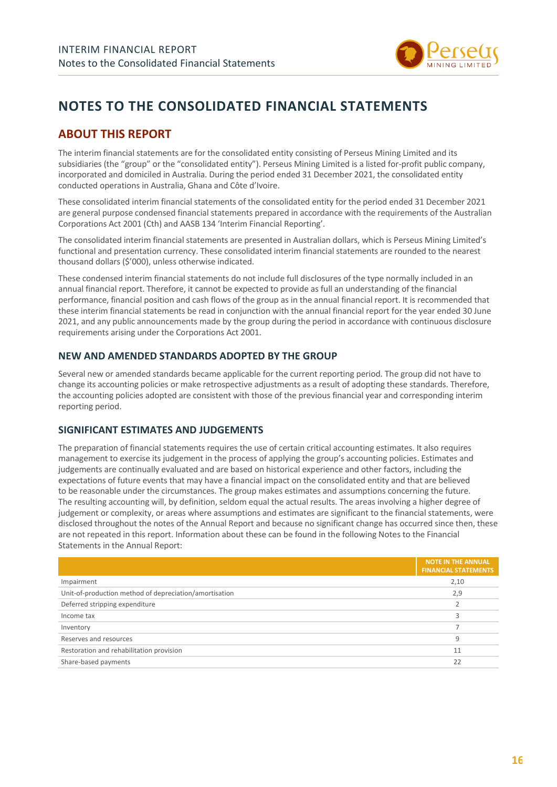

## <span id="page-15-0"></span>**NOTES TO THE CONSOLIDATED FINANCIAL STATEMENTS**

### **ABOUT THIS REPORT**

The interim financial statements are for the consolidated entity consisting of Perseus Mining Limited and its subsidiaries (the "group" or the "consolidated entity"). Perseus Mining Limited is a listed for-profit public company, incorporated and domiciled in Australia. During the period ended 31 December 2021, the consolidated entity conducted operations in Australia, Ghana and Côte d'Ivoire.

These consolidated interim financial statements of the consolidated entity for the period ended 31 December 2021 are general purpose condensed financial statements prepared in accordance with the requirements of the Australian Corporations Act 2001 (Cth) and AASB 134 'Interim Financial Reporting'.

The consolidated interim financial statements are presented in Australian dollars, which is Perseus Mining Limited's functional and presentation currency. These consolidated interim financial statements are rounded to the nearest thousand dollars (\$'000), unless otherwise indicated.

These condensed interim financial statements do not include full disclosures of the type normally included in an annual financial report. Therefore, it cannot be expected to provide as full an understanding of the financial performance, financial position and cash flows of the group as in the annual financial report. It is recommended that these interim financial statements be read in conjunction with the annual financial report for the year ended 30 June 2021, and any public announcements made by the group during the period in accordance with continuous disclosure requirements arising under the Corporations Act 2001.

#### **NEW AND AMENDED STANDARDS ADOPTED BY THE GROUP**

Several new or amended standards became applicable for the current reporting period. The group did not have to change its accounting policies or make retrospective adjustments as a result of adopting these standards. Therefore, the accounting policies adopted are consistent with those of the previous financial year and corresponding interim reporting period.

#### **SIGNIFICANT ESTIMATES AND JUDGEMENTS**

The preparation of financial statements requires the use of certain critical accounting estimates. It also requires management to exercise its judgement in the process of applying the group's accounting policies. Estimates and judgements are continually evaluated and are based on historical experience and other factors, including the expectations of future events that may have a financial impact on the consolidated entity and that are believed to be reasonable under the circumstances. The group makes estimates and assumptions concerning the future. The resulting accounting will, by definition, seldom equal the actual results. The areas involving a higher degree of judgement or complexity, or areas where assumptions and estimates are significant to the financial statements, were disclosed throughout the notes of the Annual Report and because no significant change has occurred since then, these are not repeated in this report. Information about these can be found in the following Notes to the Financial Statements in the Annual Report:

|                                                        | <b>NOTE IN THE ANNUAL</b><br><b>FINANCIAL STATEMENTS</b> |
|--------------------------------------------------------|----------------------------------------------------------|
| Impairment                                             | 2,10                                                     |
| Unit-of-production method of depreciation/amortisation | 2,9                                                      |
| Deferred stripping expenditure                         |                                                          |
| Income tax                                             |                                                          |
| Inventory                                              |                                                          |
| Reserves and resources                                 | 9                                                        |
| Restoration and rehabilitation provision               | 11                                                       |
| Share-based payments                                   | 22                                                       |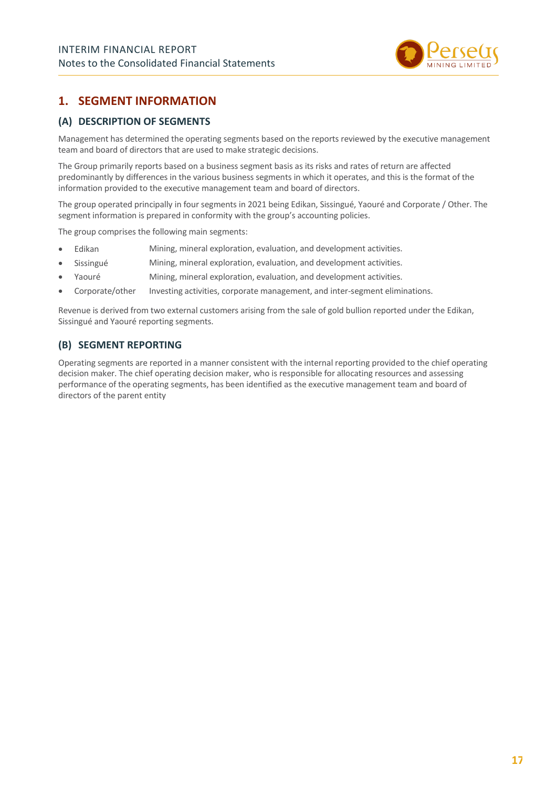

### **1. SEGMENT INFORMATION**

#### **(A) DESCRIPTION OF SEGMENTS**

Management has determined the operating segments based on the reports reviewed by the executive management team and board of directors that are used to make strategic decisions.

The Group primarily reports based on a business segment basis as its risks and rates of return are affected predominantly by differences in the various business segments in which it operates, and this is the format of the information provided to the executive management team and board of directors.

The group operated principally in four segments in 2021 being Edikan, Sissingué, Yaouré and Corporate / Other. The segment information is prepared in conformity with the group's accounting policies.

The group comprises the following main segments:

- Edikan Mining, mineral exploration, evaluation, and development activities.
- Sissingué Mining, mineral exploration, evaluation, and development activities.
- Yaouré Mining, mineral exploration, evaluation, and development activities.
- Corporate/other Investing activities, corporate management, and inter-segment eliminations.

Revenue is derived from two external customers arising from the sale of gold bullion reported under the Edikan, Sissingué and Yaouré reporting segments.

#### **(B) SEGMENT REPORTING**

Operating segments are reported in a manner consistent with the internal reporting provided to the chief operating decision maker. The chief operating decision maker, who is responsible for allocating resources and assessing performance of the operating segments, has been identified as the executive management team and board of directors of the parent entity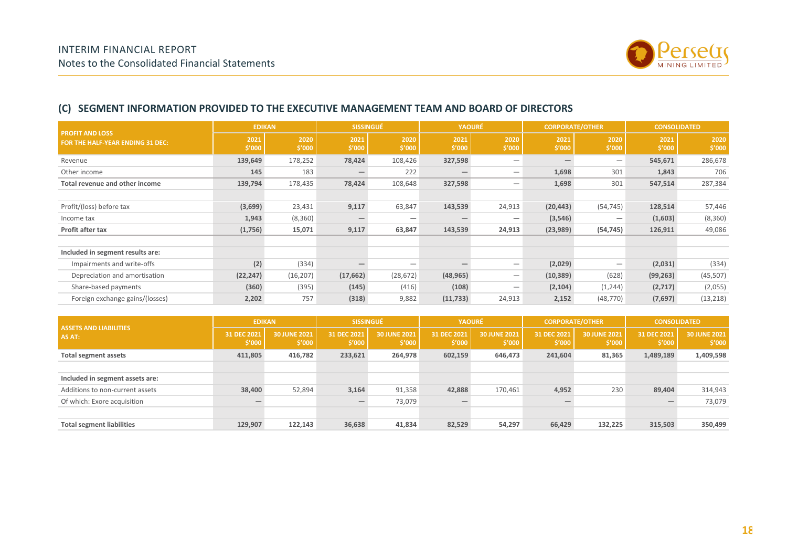

#### **(C) SEGMENT INFORMATION PROVIDED TO THE EXECUTIVE MANAGEMENT TEAM AND BOARD OF DIRECTORS**

| <b>PROFIT AND LOSS</b>                | <b>EDIKAN</b>  |                |                | <b>SISSINGUÉ</b><br><b>YAOURÉ</b> |                | <b>CORPORATE/OTHER</b>          |                |                | <b>CONSOLIDATED</b> |                |
|---------------------------------------|----------------|----------------|----------------|-----------------------------------|----------------|---------------------------------|----------------|----------------|---------------------|----------------|
| FOR THE HALF-YEAR ENDING 31 DEC:      | 2021<br>\$'000 | 2020<br>\$′000 | 2021<br>\$′000 | 2020<br>\$′000                    | 2021<br>\$′000 | 2020<br>\$′000                  | 2021<br>\$′000 | 2020<br>\$′000 | 2021<br>\$′000      | 2020<br>\$′000 |
| Revenue                               | 139,649        | 178,252        | 78,424         | 108,426                           | 327,598        | —                               |                |                | 545,671             | 286,678        |
| Other income                          | 145            | 183            |                | 222                               |                | —                               | 1,698          | 301            | 1,843               | 706            |
| <b>Total revenue and other income</b> | 139,794        | 178,435        | 78,424         | 108,648                           | 327,598        | —                               | 1,698          | 301            | 547,514             | 287,384        |
|                                       |                |                |                |                                   |                |                                 |                |                |                     |                |
| Profit/(loss) before tax              | (3,699)        | 23,431         | 9,117          | 63,847                            | 143,539        | 24,913                          | (20, 443)      | (54, 745)      | 128,514             | 57,446         |
| Income tax                            | 1,943          | (8,360)        |                |                                   |                |                                 | (3, 546)       |                | (1,603)             | (8,360)        |
| Profit after tax                      | (1,756)        | 15,071         | 9,117          | 63,847                            | 143,539        | 24,913                          | (23,989)       | (54, 745)      | 126,911             | 49,086         |
|                                       |                |                |                |                                   |                |                                 |                |                |                     |                |
| Included in segment results are:      |                |                |                |                                   |                |                                 |                |                |                     |                |
| Impairments and write-offs            | (2)            | (334)          |                |                                   |                | —                               | (2,029)        |                | (2,031)             | (334)          |
| Depreciation and amortisation         | (22, 247)      | (16, 207)      | (17, 662)      | (28, 672)                         | (48, 965)      | $\hspace{0.1mm}-\hspace{0.1mm}$ | (10, 389)      | (628)          | (99, 263)           | (45, 507)      |
| Share-based payments                  | (360)          | (395)          | (145)          | (416)                             | (108)          | —                               | (2, 104)       | (1,244)        | (2,717)             | (2,055)        |
| Foreign exchange gains/(losses)       | 2,202          | 757            | (318)          | 9,882                             | (11, 733)      | 24,913                          | 2,152          | (48, 770)      | (7,697)             | (13, 218)      |

| <b>ASSETS AND LIABILITIES</b><br>AS AT: | <b>EDIKAN</b>         |                        | <b>SISSINGUÉ</b>      |                        | <b>YAOURÉ</b>         |                        | <b>CORPORATE/OTHER</b> |                        | <b>CONSOLIDATED</b>             |                        |
|-----------------------------------------|-----------------------|------------------------|-----------------------|------------------------|-----------------------|------------------------|------------------------|------------------------|---------------------------------|------------------------|
|                                         | 31 DEC 2021<br>\$′000 | 30 JUNE 2021<br>\$′000 | 31 DEC 2021<br>\$′000 | 30 JUNE 2021<br>\$′000 | 31 DEC 2021<br>\$′000 | 30 JUNE 2021<br>\$′000 | 31 DEC 2021<br>\$'000  | 30 JUNE 2021<br>\$′000 | 31 DEC 2021<br>\$′000           | 30 JUNE 2021<br>\$′000 |
| <b>Total segment assets</b>             | 411,805               | 416,782                | 233,621               | 264,978                | 602,159               | 646,473                | 241,604                | 81,365                 | 1,489,189                       | 1,409,598              |
|                                         |                       |                        |                       |                        |                       |                        |                        |                        |                                 |                        |
| Included in segment assets are:         |                       |                        |                       |                        |                       |                        |                        |                        |                                 |                        |
| Additions to non-current assets         | 38,400                | 52,894                 | 3,164                 | 91,358                 | 42,888                | 170,461                | 4,952                  | 230                    | 89,404                          | 314,943                |
| Of which: Exore acquisition             |                       |                        |                       | 73,079                 |                       |                        |                        |                        | $\hspace{0.1mm}-\hspace{0.1mm}$ | 73,079                 |
|                                         |                       |                        |                       |                        |                       |                        |                        |                        |                                 |                        |
| <b>Total segment liabilities</b>        | 129,907               | 122,143                | 36,638                | 41,834                 | 82,529                | 54,297                 | 66,429                 | 132,225                | 315,503                         | 350,499                |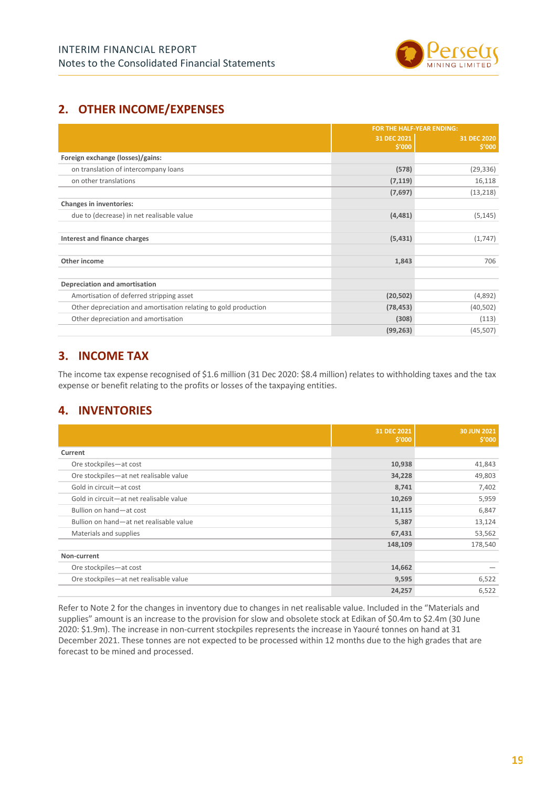

### **2. OTHER INCOME/EXPENSES**

|                                                                 |             | <b>FOR THE HALF-YEAR ENDING:</b> |  |  |
|-----------------------------------------------------------------|-------------|----------------------------------|--|--|
|                                                                 | 31 DEC 2021 | 31 DEC 2020                      |  |  |
|                                                                 | \$′000      | \$′000                           |  |  |
| Foreign exchange (losses)/gains:                                |             |                                  |  |  |
| on translation of intercompany loans                            | (578)       | (29, 336)                        |  |  |
| on other translations                                           | (7, 119)    | 16,118                           |  |  |
|                                                                 | (7,697)     | (13, 218)                        |  |  |
| Changes in inventories:                                         |             |                                  |  |  |
| due to (decrease) in net realisable value                       | (4, 481)    | (5, 145)                         |  |  |
|                                                                 |             |                                  |  |  |
| Interest and finance charges                                    | (5,431)     | (1,747)                          |  |  |
|                                                                 |             |                                  |  |  |
| Other income                                                    | 1,843       | 706                              |  |  |
|                                                                 |             |                                  |  |  |
| Depreciation and amortisation                                   |             |                                  |  |  |
| Amortisation of deferred stripping asset                        | (20, 502)   | (4,892)                          |  |  |
| Other depreciation and amortisation relating to gold production | (78, 453)   | (40, 502)                        |  |  |
| Other depreciation and amortisation                             | (308)       | (113)                            |  |  |
|                                                                 | (99, 263)   | (45, 507)                        |  |  |

### **3. INCOME TAX**

The income tax expense recognised of \$1.6 million (31 Dec 2020: \$8.4 million) relates to withholding taxes and the tax expense or benefit relating to the profits or losses of the taxpaying entities.

### **4. INVENTORIES**

|                                         | 31 DEC 2021<br>\$′000 | 30 JUN 2021<br>\$′000 |
|-----------------------------------------|-----------------------|-----------------------|
| Current                                 |                       |                       |
| Ore stockpiles-at cost                  | 10,938                | 41,843                |
| Ore stockpiles-at net realisable value  | 34,228                | 49,803                |
| Gold in circuit-at cost                 | 8,741                 | 7,402                 |
| Gold in circuit-at net realisable value | 10,269                | 5,959                 |
| Bullion on hand-at cost                 | 11,115                | 6,847                 |
| Bullion on hand-at net realisable value | 5,387                 | 13,124                |
| Materials and supplies                  | 67,431                | 53,562                |
|                                         | 148,109               | 178,540               |
| Non-current                             |                       |                       |
| Ore stockpiles-at cost                  | 14,662                |                       |
| Ore stockpiles-at net realisable value  | 9,595                 | 6,522                 |
|                                         | 24,257                | 6,522                 |

Refer to Note 2 for the changes in inventory due to changes in net realisable value. Included in the "Materials and supplies" amount is an increase to the provision for slow and obsolete stock at Edikan of \$0.4m to \$2.4m (30 June 2020: \$1.9m). The increase in non-current stockpiles represents the increase in Yaouré tonnes on hand at 31 December 2021. These tonnes are not expected to be processed within 12 months due to the high grades that are forecast to be mined and processed.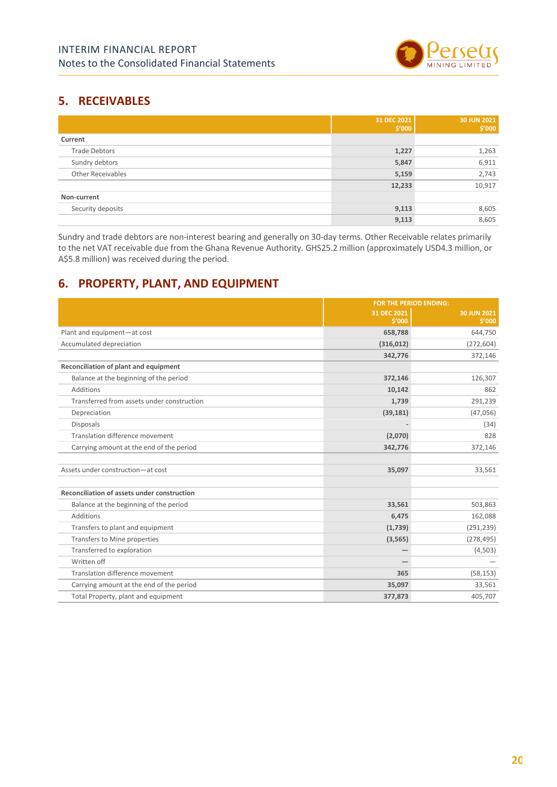

### **5. RECEIVABLES**

|                          | 31 DEC 2021<br>\$′000 | 30 JUN 2021<br>\$′000 |
|--------------------------|-----------------------|-----------------------|
| Current                  |                       |                       |
| <b>Trade Debtors</b>     | 1,227                 | 1,263                 |
| Sundry debtors           | 5,847                 | 6,911                 |
| <b>Other Receivables</b> | 5,159                 | 2,743                 |
|                          | 12,233                | 10,917                |
| Non-current              |                       |                       |
| Security deposits        | 9,113                 | 8,605                 |
|                          | 9,113                 | 8,605                 |

Sundry and trade debtors are non-interest bearing and generally on 30-day terms. Other Receivable relates primarily to the net VAT receivable due from the Ghana Revenue Authority. GHS25.2 million (approximately USD4.3 million, or A\$5.8 million) was received during the period.

### **6. PROPERTY, PLANT, AND EQUIPMENT**

|                                             | FOR THE PERIOD ENDING: |                       |  |
|---------------------------------------------|------------------------|-----------------------|--|
|                                             | 31 DEC 2021<br>5'000   | 30 JUN 2021<br>\$'000 |  |
| Plant and equipment-at cost                 | 658,788                | 644,750               |  |
| Accumulated depreciation                    |                        |                       |  |
|                                             | (316, 012)             | (272, 604)            |  |
|                                             | 342,776                | 372,146               |  |
| Reconciliation of plant and equipment       |                        |                       |  |
| Balance at the beginning of the period      | 372,146                | 126,307               |  |
| Additions                                   | 10,142                 | 862                   |  |
| Transferred from assets under construction  | 1,739                  | 291,239               |  |
| Depreciation                                | (39, 181)              | (47,056)              |  |
| <b>Disposals</b>                            |                        | (34)                  |  |
| Translation difference movement             | (2,070)                | 828                   |  |
| Carrying amount at the end of the period    | 342,776                | 372,146               |  |
|                                             |                        |                       |  |
| Assets under construction-at cost           | 35,097                 | 33,561                |  |
|                                             |                        |                       |  |
| Reconciliation of assets under construction |                        |                       |  |
| Balance at the beginning of the period      | 33,561                 | 503,863               |  |
| <b>Additions</b>                            | 6,475                  | 162,088               |  |
| Transfers to plant and equipment            | (1,739)                | (291, 239)            |  |
| Transfers to Mine properties                | (3, 565)               | (278, 495)            |  |
| Transferred to exploration                  |                        | (4, 503)              |  |
| Written off                                 |                        |                       |  |
| Translation difference movement             | 365                    | (58, 153)             |  |
| Carrying amount at the end of the period    | 35,097                 | 33,561                |  |
| Total Property, plant and equipment         | 377,873                | 405,707               |  |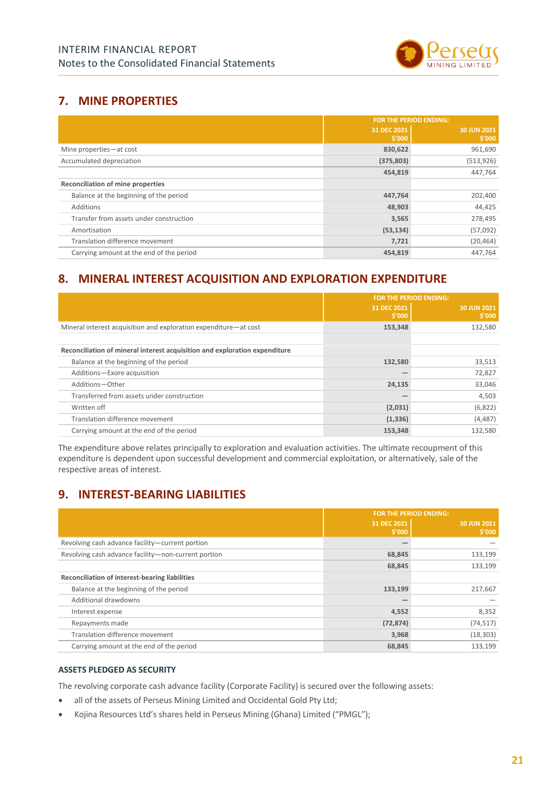

### **7. MINE PROPERTIES**

|                                          | <b>FOR THE PERIOD ENDING:</b> |                       |  |  |
|------------------------------------------|-------------------------------|-----------------------|--|--|
|                                          | 31 DEC 2021<br>\$′000         | 30 JUN 2021<br>\$′000 |  |  |
| Mine properties-at cost                  | 830,622                       | 961,690               |  |  |
| Accumulated depreciation                 | (375, 803)                    | (513, 926)            |  |  |
|                                          | 454,819                       | 447,764               |  |  |
| <b>Reconciliation of mine properties</b> |                               |                       |  |  |
| Balance at the beginning of the period   | 447,764                       | 202,400               |  |  |
| Additions                                | 48,903                        | 44,425                |  |  |
| Transfer from assets under construction  | 3,565                         | 278,495               |  |  |
| Amortisation                             | (53, 134)                     | (57,092)              |  |  |
| Translation difference movement          | 7,721                         | (20, 464)             |  |  |
| Carrying amount at the end of the period | 454,819                       | 447.764               |  |  |

### **8. MINERAL INTEREST ACQUISITION AND EXPLORATION EXPENDITURE**

|                                                                            | <b>FOR THE PERIOD ENDING:</b> |                       |  |
|----------------------------------------------------------------------------|-------------------------------|-----------------------|--|
|                                                                            | 31 DEC 2021<br>\$′000         | 30 JUN 2021<br>\$′000 |  |
| Mineral interest acquisition and exploration expenditure-at cost           | 153,348                       | 132,580               |  |
|                                                                            |                               |                       |  |
| Reconciliation of mineral interest acquisition and exploration expenditure |                               |                       |  |
| Balance at the beginning of the period                                     | 132,580                       | 33,513                |  |
| Additions-Exore acquisition                                                |                               | 72,827                |  |
| Additions-Other                                                            | 24,135                        | 33,046                |  |
| Transferred from assets under construction                                 |                               | 4,503                 |  |
| Written off                                                                | (2,031)                       | (6,822)               |  |
| Translation difference movement                                            | (1, 336)                      | (4, 487)              |  |
| Carrying amount at the end of the period                                   | 153,348                       | 132,580               |  |

The expenditure above relates principally to exploration and evaluation activities. The ultimate recoupment of this expenditure is dependent upon successful development and commercial exploitation, or alternatively, sale of the respective areas of interest.

### **9. INTEREST-BEARING LIABILITIES**

|                                                     | <b>FOR THE PERIOD ENDING:</b> |                       |  |
|-----------------------------------------------------|-------------------------------|-----------------------|--|
|                                                     | 31 DEC 2021<br>\$′000         | 30 JUN 2021<br>\$′000 |  |
| Revolving cash advance facility-current portion     |                               |                       |  |
| Revolving cash advance facility-non-current portion | 68,845                        | 133,199               |  |
|                                                     | 68,845                        | 133,199               |  |
| Reconciliation of interest-bearing liabilities      |                               |                       |  |
| Balance at the beginning of the period              | 133,199                       | 217,667               |  |
| Additional drawdowns                                |                               |                       |  |
| Interest expense                                    | 4,552                         | 8,352                 |  |
| Repayments made                                     | (72, 874)                     | (74, 517)             |  |
| Translation difference movement                     | 3,968                         | (18, 303)             |  |
| Carrying amount at the end of the period            | 68,845                        | 133,199               |  |

#### **ASSETS PLEDGED AS SECURITY**

The revolving corporate cash advance facility (Corporate Facility) is secured over the following assets:

- all of the assets of Perseus Mining Limited and Occidental Gold Pty Ltd;
- Kojina Resources Ltd's shares held in Perseus Mining (Ghana) Limited ("PMGL");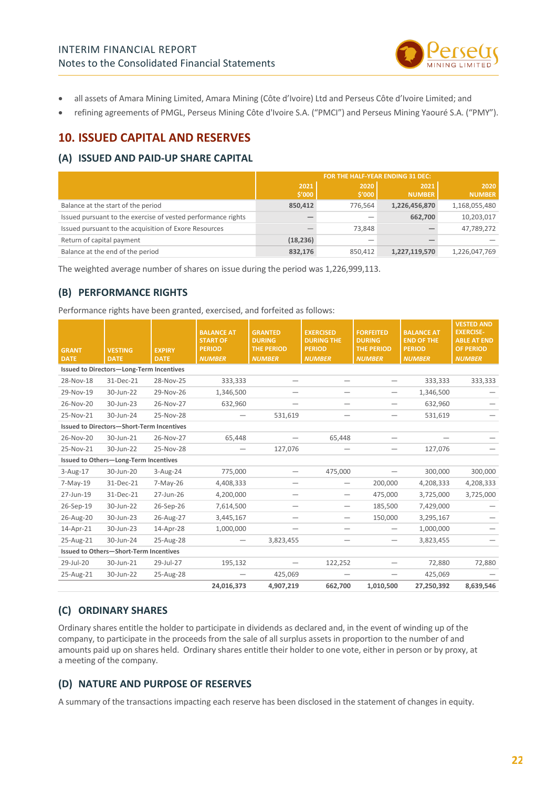

- all assets of Amara Mining Limited, Amara Mining (Côte d'Ivoire) Ltd and Perseus Côte d'Ivoire Limited; and
- refining agreements of PMGL, Perseus Mining Côte d'Ivoire S.A. ("PMCI") and Perseus Mining Yaouré S.A. ("PMY").

### **10. ISSUED CAPITAL AND RESERVES**

#### **(A) ISSUED AND PAID-UP SHARE CAPITAL**

|                                                              | FOR THE HALF-YEAR ENDING 31 DEC: |                |                       |                       |  |
|--------------------------------------------------------------|----------------------------------|----------------|-----------------------|-----------------------|--|
|                                                              | 2021<br>\$′000                   | 2020<br>\$′000 | 2021<br><b>NUMBER</b> | 2020<br><b>NUMBER</b> |  |
| Balance at the start of the period                           | 850,412                          | 776.564        | 1,226,456,870         | 1,168,055,480         |  |
| Issued pursuant to the exercise of vested performance rights |                                  |                | 662,700               | 10,203,017            |  |
| Issued pursuant to the acquisition of Exore Resources        |                                  | 73.848         |                       | 47,789,272            |  |
| Return of capital payment                                    | (18, 236)                        |                |                       |                       |  |
| Balance at the end of the period                             | 832,176                          | 850.412        | 1,227,119,570         | 1,226,047,769         |  |

The weighted average number of shares on issue during the period was 1,226,999,113.

#### **(B) PERFORMANCE RIGHTS**

Performance rights have been granted, exercised, and forfeited as follows:

| <b>GRANT</b><br><b>DATE</b>                   | <b>VESTING</b><br><b>DATE</b>                    | <b>EXPIRY</b><br><b>DATE</b> | <b>BALANCE AT</b><br><b>START OF</b><br><b>PERIOD</b><br><b>NUMBER</b> | <b>GRANTED</b><br><b>DURING</b><br><b>THE PERIOD</b><br><b>NUMBER</b> | <b>EXERCISED</b><br><b>DURING THE</b><br><b>PERIOD</b><br><b>NUMBER</b> | <b>FORFEITED</b><br><b>DURING</b><br><b>THE PERIOD</b><br><b>NUMBER</b> | <b>BALANCE AT</b><br><b>END OF THE</b><br><b>PERIOD</b><br><b>NUMBER</b> | <b>VESTED AND</b><br><b>EXERCISE-</b><br><b>ABLE AT END</b><br><b>OF PERIOD</b><br><b>NUMBER</b> |
|-----------------------------------------------|--------------------------------------------------|------------------------------|------------------------------------------------------------------------|-----------------------------------------------------------------------|-------------------------------------------------------------------------|-------------------------------------------------------------------------|--------------------------------------------------------------------------|--------------------------------------------------------------------------------------------------|
|                                               | Issued to Directors-Long-Term Incentives         |                              |                                                                        |                                                                       |                                                                         |                                                                         |                                                                          |                                                                                                  |
| 28-Nov-18                                     | 31-Dec-21                                        | 28-Nov-25                    | 333,333                                                                |                                                                       |                                                                         |                                                                         | 333,333                                                                  | 333,333                                                                                          |
| 29-Nov-19                                     | 30-Jun-22                                        | 29-Nov-26                    | 1,346,500                                                              |                                                                       |                                                                         |                                                                         | 1,346,500                                                                |                                                                                                  |
| 26-Nov-20                                     | 30-Jun-23                                        | 26-Nov-27                    | 632,960                                                                |                                                                       |                                                                         |                                                                         | 632,960                                                                  |                                                                                                  |
| 25-Nov-21                                     | 30-Jun-24                                        | 25-Nov-28                    |                                                                        | 531,619                                                               |                                                                         |                                                                         | 531,619                                                                  |                                                                                                  |
|                                               | <b>Issued to Directors-Short-Term Incentives</b> |                              |                                                                        |                                                                       |                                                                         |                                                                         |                                                                          |                                                                                                  |
| 26-Nov-20                                     | 30-Jun-21                                        | 26-Nov-27                    | 65,448                                                                 |                                                                       | 65,448                                                                  |                                                                         |                                                                          |                                                                                                  |
| 25-Nov-21                                     | 30-Jun-22                                        | 25-Nov-28                    |                                                                        | 127,076                                                               |                                                                         |                                                                         | 127,076                                                                  |                                                                                                  |
|                                               | Issued to Others-Long-Term Incentives            |                              |                                                                        |                                                                       |                                                                         |                                                                         |                                                                          |                                                                                                  |
| $3-Aug-17$                                    | 30-Jun-20                                        | 3-Aug-24                     | 775,000                                                                |                                                                       | 475,000                                                                 |                                                                         | 300,000                                                                  | 300,000                                                                                          |
| 7-May-19                                      | 31-Dec-21                                        | 7-May-26                     | 4,408,333                                                              |                                                                       |                                                                         | 200,000                                                                 | 4,208,333                                                                | 4,208,333                                                                                        |
| 27-Jun-19                                     | 31-Dec-21                                        | 27-Jun-26                    | 4,200,000                                                              |                                                                       | $\overline{\phantom{0}}$                                                | 475,000                                                                 | 3,725,000                                                                | 3,725,000                                                                                        |
| 26-Sep-19                                     | 30-Jun-22                                        | 26-Sep-26                    | 7,614,500                                                              | —                                                                     | —                                                                       | 185,500                                                                 | 7,429,000                                                                |                                                                                                  |
| 26-Aug-20                                     | 30-Jun-23                                        | 26-Aug-27                    | 3,445,167                                                              |                                                                       | $\qquad \qquad$                                                         | 150,000                                                                 | 3,295,167                                                                |                                                                                                  |
| 14-Apr-21                                     | 30-Jun-23                                        | 14-Apr-28                    | 1,000,000                                                              |                                                                       |                                                                         |                                                                         | 1,000,000                                                                |                                                                                                  |
| 25-Aug-21                                     | 30-Jun-24                                        | 25-Aug-28                    |                                                                        | 3,823,455                                                             |                                                                         |                                                                         | 3,823,455                                                                |                                                                                                  |
| <b>Issued to Others-Short-Term Incentives</b> |                                                  |                              |                                                                        |                                                                       |                                                                         |                                                                         |                                                                          |                                                                                                  |
| 29-Jul-20                                     | 30-Jun-21                                        | 29-Jul-27                    | 195,132                                                                |                                                                       | 122,252                                                                 |                                                                         | 72,880                                                                   | 72,880                                                                                           |
| 25-Aug-21                                     | 30-Jun-22                                        | 25-Aug-28                    | $\qquad \qquad$                                                        | 425,069                                                               |                                                                         | $\overline{\phantom{0}}$                                                | 425,069                                                                  |                                                                                                  |
|                                               |                                                  |                              | 24,016,373                                                             | 4,907,219                                                             | 662,700                                                                 | 1,010,500                                                               | 27,250,392                                                               | 8,639,546                                                                                        |

#### **(C) ORDINARY SHARES**

Ordinary shares entitle the holder to participate in dividends as declared and, in the event of winding up of the company, to participate in the proceeds from the sale of all surplus assets in proportion to the number of and amounts paid up on shares held. Ordinary shares entitle their holder to one vote, either in person or by proxy, at a meeting of the company.

#### **(D) NATURE AND PURPOSE OF RESERVES**

A summary of the transactions impacting each reserve has been disclosed in the statement of changes in equity.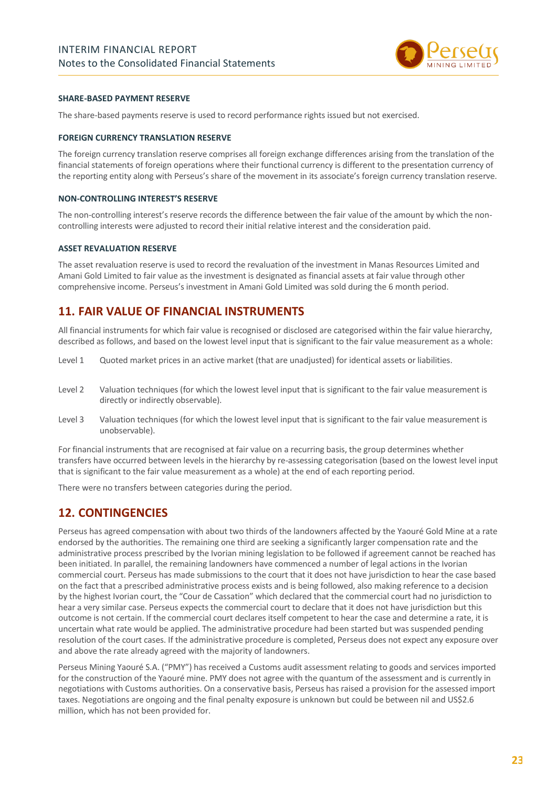

#### **SHARE-BASED PAYMENT RESERVE**

The share-based payments reserve is used to record performance rights issued but not exercised.

#### **FOREIGN CURRENCY TRANSLATION RESERVE**

The foreign currency translation reserve comprises all foreign exchange differences arising from the translation of the financial statements of foreign operations where their functional currency is different to the presentation currency of the reporting entity along with Perseus's share of the movement in its associate's foreign currency translation reserve.

#### **NON-CONTROLLING INTEREST'S RESERVE**

The non-controlling interest's reserve records the difference between the fair value of the amount by which the noncontrolling interests were adjusted to record their initial relative interest and the consideration paid.

#### **ASSET REVALUATION RESERVE**

The asset revaluation reserve is used to record the revaluation of the investment in Manas Resources Limited and Amani Gold Limited to fair value as the investment is designated as financial assets at fair value through other comprehensive income. Perseus's investment in Amani Gold Limited was sold during the 6 month period.

#### **11. FAIR VALUE OF FINANCIAL INSTRUMENTS**

All financial instruments for which fair value is recognised or disclosed are categorised within the fair value hierarchy, described as follows, and based on the lowest level input that is significant to the fair value measurement as a whole:

- Level 1 Quoted market prices in an active market (that are unadjusted) for identical assets or liabilities.
- Level 2 Valuation techniques (for which the lowest level input that is significant to the fair value measurement is directly or indirectly observable).
- Level 3 Valuation techniques (for which the lowest level input that is significant to the fair value measurement is unobservable).

For financial instruments that are recognised at fair value on a recurring basis, the group determines whether transfers have occurred between levels in the hierarchy by re-assessing categorisation (based on the lowest level input that is significant to the fair value measurement as a whole) at the end of each reporting period.

There were no transfers between categories during the period.

#### **12. CONTINGENCIES**

Perseus has agreed compensation with about two thirds of the landowners affected by the Yaouré Gold Mine at a rate endorsed by the authorities. The remaining one third are seeking a significantly larger compensation rate and the administrative process prescribed by the Ivorian mining legislation to be followed if agreement cannot be reached has been initiated. In parallel, the remaining landowners have commenced a number of legal actions in the Ivorian commercial court. Perseus has made submissions to the court that it does not have jurisdiction to hear the case based on the fact that a prescribed administrative process exists and is being followed, also making reference to a decision by the highest Ivorian court, the "Cour de Cassation" which declared that the commercial court had no jurisdiction to hear a very similar case. Perseus expects the commercial court to declare that it does not have jurisdiction but this outcome is not certain. If the commercial court declares itself competent to hear the case and determine a rate, it is uncertain what rate would be applied. The administrative procedure had been started but was suspended pending resolution of the court cases. If the administrative procedure is completed, Perseus does not expect any exposure over and above the rate already agreed with the majority of landowners.

Perseus Mining Yaouré S.A. ("PMY") has received a Customs audit assessment relating to goods and services imported for the construction of the Yaouré mine. PMY does not agree with the quantum of the assessment and is currently in negotiations with Customs authorities. On a conservative basis, Perseus has raised a provision for the assessed import taxes. Negotiations are ongoing and the final penalty exposure is unknown but could be between nil and US\$2.6 million, which has not been provided for.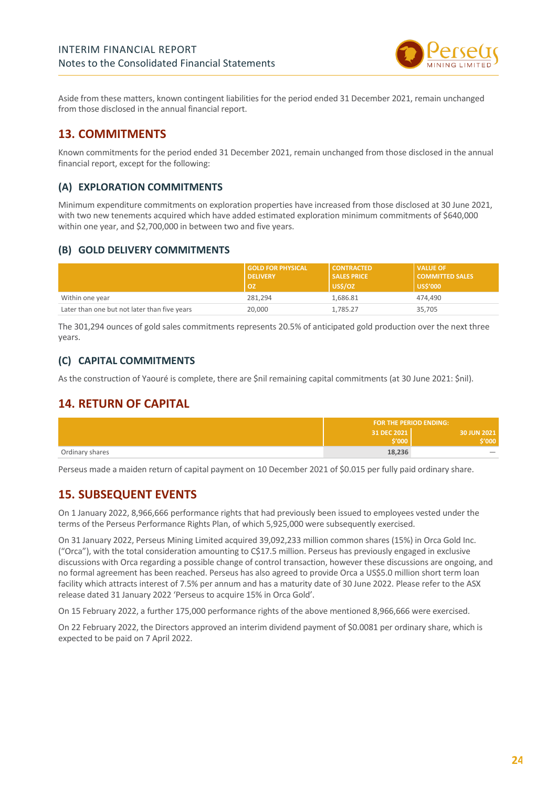

Aside from these matters, known contingent liabilities for the period ended 31 December 2021, remain unchanged from those disclosed in the annual financial report.

### **13. COMMITMENTS**

Known commitments for the period ended 31 December 2021, remain unchanged from those disclosed in the annual financial report, except for the following:

#### **(A) EXPLORATION COMMITMENTS**

Minimum expenditure commitments on exploration properties have increased from those disclosed at 30 June 2021, with two new tenements acquired which have added estimated exploration minimum commitments of \$640,000 within one year, and \$2,700,000 in between two and five years.

#### **(B) GOLD DELIVERY COMMITMENTS**

|                                              | <b>GOLD FOR PHYSICAL</b><br><b>DELIVERY</b><br><b>OZ</b> | <b>CONTRACTED</b><br><b>SALES PRICE</b><br>US\$/OZ | <b>VALUE OF</b><br><b>COMMITTED SALES</b><br><b>US\$'000</b> |
|----------------------------------------------|----------------------------------------------------------|----------------------------------------------------|--------------------------------------------------------------|
| Within one year                              | 281.294                                                  | 1.686.81                                           | 474.490                                                      |
| Later than one but not later than five years | 20,000                                                   | 1,785.27                                           | 35,705                                                       |

The 301,294 ounces of gold sales commitments represents 20.5% of anticipated gold production over the next three years.

#### **(C) CAPITAL COMMITMENTS**

As the construction of Yaouré is complete, there are \$nil remaining capital commitments (at 30 June 2021: \$nil).

### **14. RETURN OF CAPITAL**

|                 | <b>FOR THE PERIOD ENDING:</b> |                          |  |
|-----------------|-------------------------------|--------------------------|--|
|                 | 31 DEC 2021<br>\$'000         | 30 JUN 2021<br>ا 000'ؤ   |  |
| Ordinary shares | 18,236                        | $\overline{\phantom{a}}$ |  |

Perseus made a maiden return of capital payment on 10 December 2021 of \$0.015 per fully paid ordinary share.

### <span id="page-23-0"></span>**15. SUBSEQUENT EVENTS**

On 1 January 2022, 8,966,666 performance rights that had previously been issued to employees vested under the terms of the Perseus Performance Rights Plan, of which 5,925,000 were subsequently exercised.

On 31 January 2022, Perseus Mining Limited acquired 39,092,233 million common shares (15%) in Orca Gold Inc. ("Orca"), with the total consideration amounting to C\$17.5 million. Perseus has previously engaged in exclusive discussions with Orca regarding a possible change of control transaction, however these discussions are ongoing, and no formal agreement has been reached. Perseus has also agreed to provide Orca a US\$5.0 million short term loan facility which attracts interest of 7.5% per annum and has a maturity date of 30 June 2022. Please refer to the ASX release dated 31 January 2022 'Perseus to acquire 15% in Orca Gold'.

On 15 February 2022, a further 175,000 performance rights of the above mentioned 8,966,666 were exercised.

On 22 February 2022, the Directors approved an interim dividend payment of \$0.0081 per ordinary share, which is expected to be paid on 7 April 2022.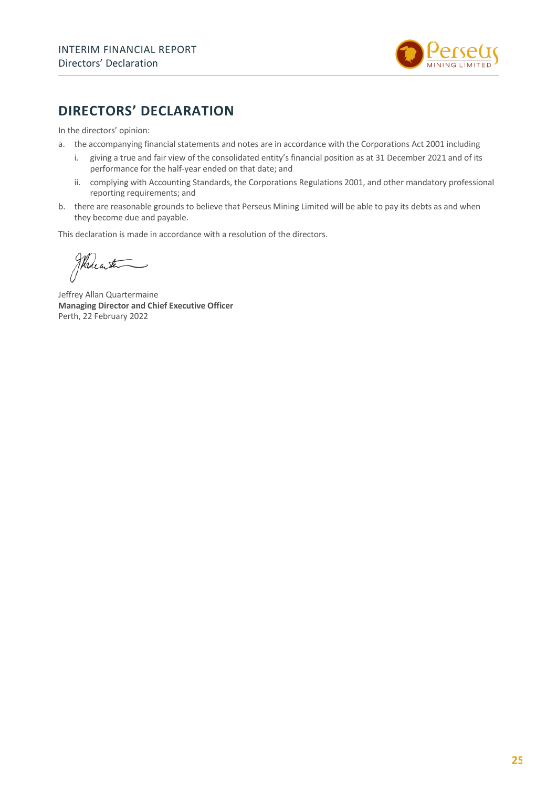

## **DIRECTORS' DECLARATION**

In the directors' opinion:

- a. the accompanying financial statements and notes are in accordance with the Corporations Act 2001 including
	- i. giving a true and fair view of the consolidated entity's financial position as at 31 December 2021 and of its performance for the half-year ended on that date; and
	- ii. complying with Accounting Standards, the Corporations Regulations 2001, and other mandatory professional reporting requirements; and
- b. there are reasonable grounds to believe that Perseus Mining Limited will be able to pay its debts as and when they become due and payable.

This declaration is made in accordance with a resolution of the directors.

Wheater

Jeffrey Allan Quartermaine **Managing Director and Chief Executive Officer** Perth, 22 February 2022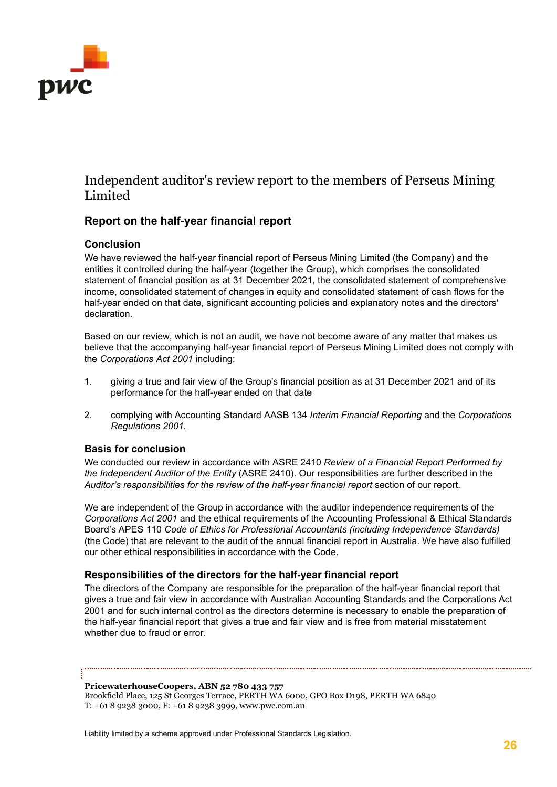

### Independent auditor's review report to the members of Perseus Mining Limited

### **Report on the half-year financial report**

#### **Conclusion**

We have reviewed the half-year financial report of Perseus Mining Limited (the Company) and the entities it controlled during the half-year (together the Group), which comprises the consolidated statement of financial position as at 31 December 2021, the consolidated statement of comprehensive income, consolidated statement of changes in equity and consolidated statement of cash flows for the half-year ended on that date, significant accounting policies and explanatory notes and the directors' declaration.

Based on our review, which is not an audit, we have not become aware of any matter that makes us believe that the accompanying half-year financial report of Perseus Mining Limited does not comply with the *Corporations Act 2001* including:

- 1. giving a true and fair view of the Group's financial position as at 31 December 2021 and of its performance for the half-year ended on that date
- 2. complying with Accounting Standard AASB 134 *Interim Financial Reporting* and the *Corporations Regulations 2001*.

#### **Basis for conclusion**

We conducted our review in accordance with ASRE 2410 *Review of a Financial Report Performed by the Independent Auditor of the Entity* (ASRE 2410). Our responsibilities are further described in the *Auditor's responsibilities for the review of the half-year financial report* section of our report.

We are independent of the Group in accordance with the auditor independence requirements of the *Corporations Act 2001* and the ethical requirements of the Accounting Professional & Ethical Standards Board's APES 110 *Code of Ethics for Professional Accountants (including Independence Standards)* (the Code) that are relevant to the audit of the annual financial report in Australia. We have also fulfilled our other ethical responsibilities in accordance with the Code.

#### **Responsibilities of the directors for the half-year financial report**

The directors of the Company are responsible for the preparation of the half-year financial report that gives a true and fair view in accordance with Australian Accounting Standards and the Corporations Act 2001 and for such internal control as the directors determine is necessary to enable the preparation of the half-year financial report that gives a true and fair view and is free from material misstatement whether due to fraud or error.

**PricewaterhouseCoopers, ABN 52 780 433 757** 

Brookfield Place, 125 St Georges Terrace, PERTH WA 6000, GPO Box D198, PERTH WA 6840 T: +61 8 9238 3000, F: +61 8 9238 3999, www.pwc.com.au

Liability limited by a scheme approved under Professional Standards Legislation.